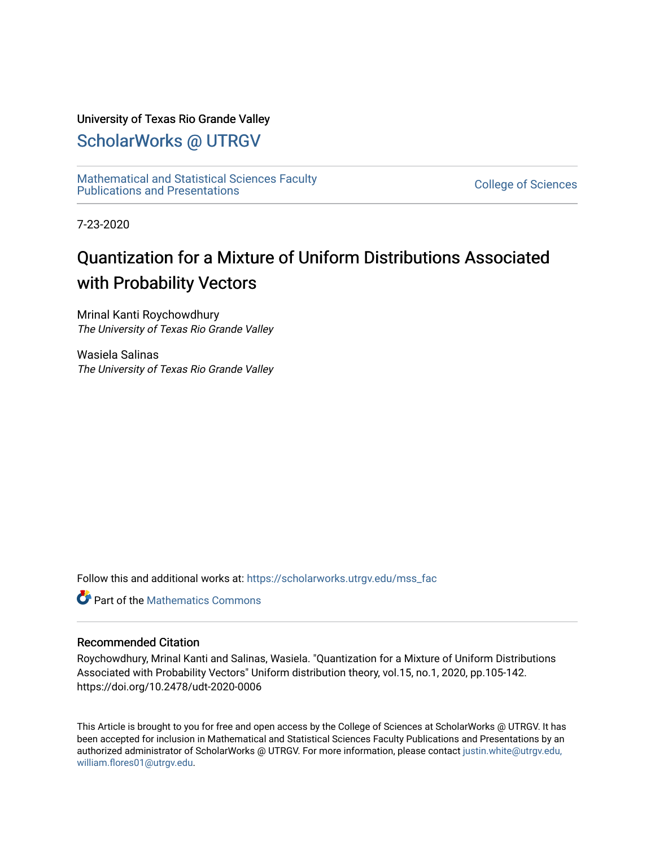## University of Texas Rio Grande Valley

## [ScholarWorks @ UTRGV](https://scholarworks.utrgv.edu/)

[Mathematical and Statistical Sciences Faculty](https://scholarworks.utrgv.edu/mss_fac)  mathematical and Statistical Sciences Faculty<br>Publications and Presentations

7-23-2020

# Quantization for a Mixture of Uniform Distributions Associated with Probability Vectors

Mrinal Kanti Roychowdhury The University of Texas Rio Grande Valley

Wasiela Salinas The University of Texas Rio Grande Valley

Follow this and additional works at: [https://scholarworks.utrgv.edu/mss\\_fac](https://scholarworks.utrgv.edu/mss_fac?utm_source=scholarworks.utrgv.edu%2Fmss_fac%2F248&utm_medium=PDF&utm_campaign=PDFCoverPages) 

**C** Part of the [Mathematics Commons](http://network.bepress.com/hgg/discipline/174?utm_source=scholarworks.utrgv.edu%2Fmss_fac%2F248&utm_medium=PDF&utm_campaign=PDFCoverPages)

## Recommended Citation

Roychowdhury, Mrinal Kanti and Salinas, Wasiela. "Quantization for a Mixture of Uniform Distributions Associated with Probability Vectors" Uniform distribution theory, vol.15, no.1, 2020, pp.105-142. https://doi.org/10.2478/udt-2020-0006

This Article is brought to you for free and open access by the College of Sciences at ScholarWorks @ UTRGV. It has been accepted for inclusion in Mathematical and Statistical Sciences Faculty Publications and Presentations by an authorized administrator of ScholarWorks @ UTRGV. For more information, please contact [justin.white@utrgv.edu,](mailto:justin.white@utrgv.edu,%20william.flores01@utrgv.edu)  [william.flores01@utrgv.edu](mailto:justin.white@utrgv.edu,%20william.flores01@utrgv.edu).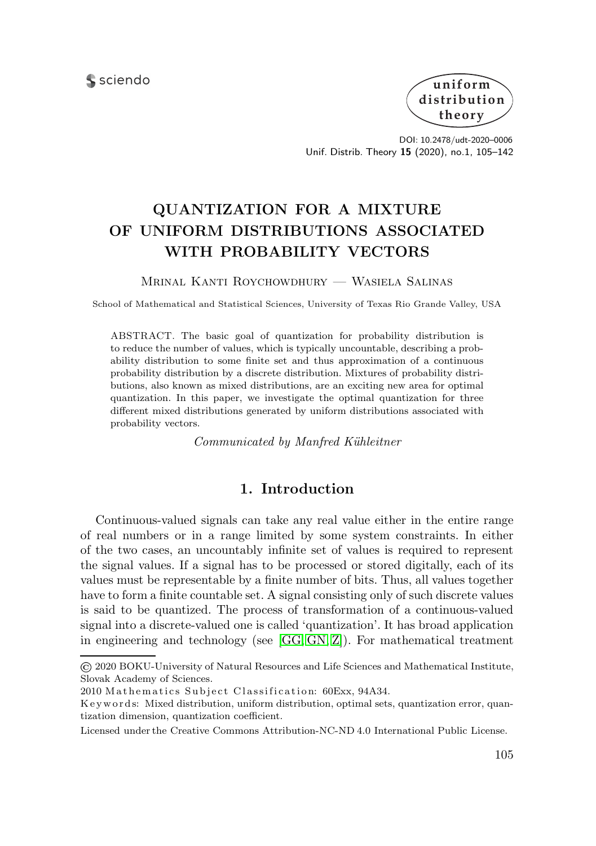sciendo



DOI: 10.2478/udt-2020–0006 Unif. Distrib. Theory **15** (2020), no.1, 105–142

## **QUANTIZATION FOR A MIXTURE OF UNIFORM DISTRIBUTIONS ASSOCIATED WITH PROBABILITY VECTORS**

Mrinal Kanti Roychowdhury — Wasiela Salinas

School of Mathematical and Statistical Sciences, University of Texas Rio Grande Valley, USA

ABSTRACT. The basic goal of quantization for probability distribution is to reduce the number of values, which is typically uncountable, describing a probability distribution to some finite set and thus approximation of a continuous probability distribution by a discrete distribution. Mixtures of probability distributions, also known as mixed distributions, are an exciting new area for optimal quantization. In this paper, we investigate the optimal quantization for three different mixed distributions generated by uniform distributions associated with probability vectors.

*Communicated by Manfred K¨uhleitner*

### **1. Introduction**

Continuous-valued signals can take any real value either in the entire range of real numbers or in a range limited by some system constraints. In either of the two cases, an uncountably infinite set of values is required to represent the signal values. If a signal has to be processed or stored digitally, each of its values must be representable by a finite number of bits. Thus, all values together have to form a finite countable set. A signal consisting only of such discrete values is said to be quantized. The process of transformation of a continuous-valued signal into a discrete-valued one is called 'quantization'. It has broad application in engineering and technology (see  $[G, GN, Z]$  $[G, GN, Z]$  $[G, GN, Z]$ ). For mathematical treatment

<sup>©</sup> 2020 BOKU-University of Natural Resources and Life Sciences and Mathematical Institute, Slovak Academy of Sciences.

<sup>2010</sup> Mathematics Subject Classification: 60Exx, 94A34.

K e y w ords: Mixed distribution, uniform distribution, optimal sets, quantization error, quantization dimension, quantization coefficient.

Licensed under the Creative Commons Attribution-NC-ND 4.0 International Public License.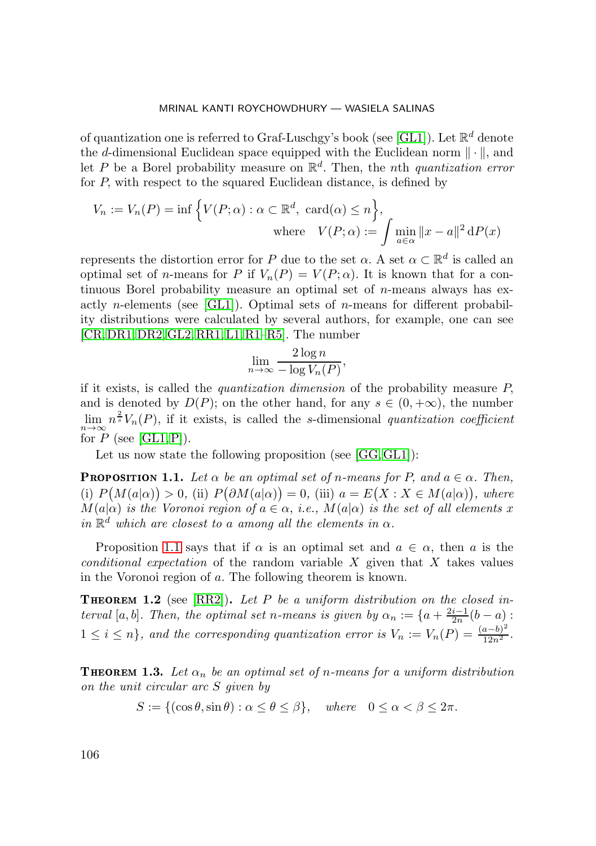of quantization one is referred to Graf-Luschgy's book (see [\[GL1\]](#page-37-2)). Let  $\mathbb{R}^d$  denote the d-dimensional Euclidean space equipped with the Euclidean norm  $\|\cdot\|$ , and let P be a Borel probability measure on  $\mathbb{R}^d$ . Then, the nth *quantization error* for P, with respect to the squared Euclidean distance, is defined by

$$
V_n := V_n(P) = \inf \left\{ V(P; \alpha) : \alpha \subset \mathbb{R}^d, \operatorname{card}(\alpha) \le n \right\},\
$$
  
where 
$$
V(P; \alpha) := \int \min_{a \in \alpha} ||x - a||^2 dP(x)
$$

represents the distortion error for P due to the set  $\alpha$ . A set  $\alpha \subset \mathbb{R}^d$  is called an optimal set of n-means for P if  $V_n(P) = V(P; \alpha)$ . It is known that for a continuous Borel probability measure an optimal set of  $n$ -means always has exactly *n*-elements (see [\[GL1\]](#page-37-2)). Optimal sets of *n*-means for different probability distributions were calculated by several authors, for example, one can see [\[CR,](#page-37-3)[DR1,](#page-37-4)[DR2,](#page-37-5)[GL2,](#page-37-6) [RR1,](#page-38-1)[L1,](#page-38-2) [R1–](#page-38-3)[R5\]](#page-38-4). The number

$$
\lim_{n \to \infty} \frac{2 \log n}{-\log V_n(P)},
$$

if it exists, is called the *quantization dimension* of the probability measure P, and is denoted by  $D(P)$ ; on the other hand, for any  $s \in (0, +\infty)$ , the number  $\lim_{n\to\infty} n^{\frac{2}{s}}V_n(P)$ , if it exists, is called the s-dimensional *quantization coefficient*  $\overrightarrow{n \to \infty}$  for P (see [\[GL1,](#page-37-2) [P\]](#page-38-5)).

Let us now state the following proposition (see [\[GG,](#page-37-0) [GL1\]](#page-37-2)):

<span id="page-2-0"></span>**PROPOSITION 1.1.** Let  $\alpha$  be an optimal set of n-means for P, and  $a \in \alpha$ . Then, (i)  $P(M(a|\alpha)) > 0$ , (ii)  $P(\partial M(a|\alpha)) = 0$ , (iii)  $a = E(X : X \in M(a|\alpha))$ , where  $M(a|\alpha)$  *is the Voronoi region of*  $a \in \alpha$ , *i.e.*,  $M(a|\alpha)$  *is the set of all elements* x *in*  $\mathbb{R}^d$  *which are closest to a among all the elements in*  $\alpha$ *.* 

Proposition [1.1](#page-2-0) says that if  $\alpha$  is an optimal set and  $a \in \alpha$ , then a is the *conditional expectation* of the random variable X given that X takes values in the Voronoi region of a. The following theorem is known.

<span id="page-2-1"></span>**THEOREM 1.2** (see [\[RR2\]](#page-38-6)). Let P be a uniform distribution on the closed in*terval* [a, b]. Then, the optimal set n-means is given by  $\alpha_n := \{a + \frac{2i-1}{2n}(b-a)$ :  $1 \leq i \leq n$ , and the corresponding quantization error is  $V_n := V_n(P) = \frac{(a-b)^2}{12n^2}$ .

<span id="page-2-2"></span>**THEOREM 1.3.** Let  $\alpha_n$  be an optimal set of n-means for a uniform distribution *on the unit circular arc* S *given by*

$$
S := \{ (\cos \theta, \sin \theta) : \alpha \le \theta \le \beta \}, \quad \text{where} \quad 0 \le \alpha < \beta \le 2\pi.
$$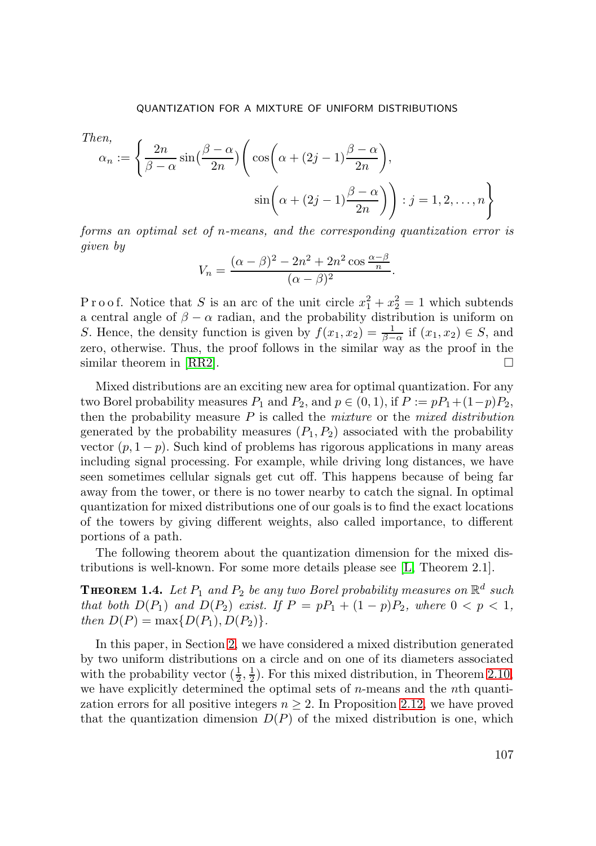Then,  
\n
$$
\alpha_n := \left\{ \frac{2n}{\beta - \alpha} \sin\left(\frac{\beta - \alpha}{2n}\right) \left( \cos\left(\alpha + (2j - 1)\frac{\beta - \alpha}{2n}\right), \sin\left(\alpha + (2j - 1)\frac{\beta - \alpha}{2n}\right) \right) : j = 1, 2, ..., n \right\}
$$

*forms an optimal set of* n*-means, and the corresponding quantization error is given by*

$$
V_n = \frac{(\alpha - \beta)^2 - 2n^2 + 2n^2 \cos \frac{\alpha - \beta}{n}}{(\alpha - \beta)^2}.
$$

P r o o f. Notice that S is an arc of the unit circle  $x_1^2 + x_2^2 = 1$  which subtends a central angle of  $\beta - \alpha$  radian, and the probability distribution is uniform on S. Hence, the density function is given by  $f(x_1, x_2) = \frac{1}{\beta - \alpha}$  if  $(x_1, x_2) \in S$ , and zero, otherwise. Thus, the proof follows in the similar way as the proof in the similar theorem in [\[RR2\]](#page-38-6).  $\Box$ 

Mixed distributions are an exciting new area for optimal quantization. For any two Borel probability measures  $P_1$  and  $P_2$ , and  $p \in (0, 1)$ , if  $P := pP_1 + (1-p)P_2$ , then the probability measure P is called the *mixture* or the *mixed distribution* generated by the probability measures  $(P_1, P_2)$  associated with the probability vector  $(p, 1-p)$ . Such kind of problems has rigorous applications in many areas including signal processing. For example, while driving long distances, we have seen sometimes cellular signals get cut off. This happens because of being far away from the tower, or there is no tower nearby to catch the signal. In optimal quantization for mixed distributions one of our goals is to find the exact locations of the towers by giving different weights, also called importance, to different portions of a path.

The following theorem about the quantization dimension for the mixed distributions is well-known. For some more details please see [\[L,](#page-37-7) Theorem 2.1].

<span id="page-3-0"></span>**THEOREM 1.4.** Let  $P_1$  and  $P_2$  be any two Borel probability measures on  $\mathbb{R}^d$  such *that both*  $D(P_1)$  *and*  $D(P_2)$  *exist. If*  $P = pP_1 + (1 - p)P_2$ *, where*  $0 < p < 1$ *, then*  $D(P) = \max\{D(P_1), D(P_2)\}.$ 

In this paper, in Section [2,](#page-4-0) we have considered a mixed distribution generated by two uniform distributions on a circle and on one of its diameters associated with the probability vector  $(\frac{1}{2}, \frac{1}{2})$ . For this mixed distribution, in Theorem [2.10,](#page-16-0) we have explicitly determined the optimal sets of  $n$ -means and the  $n$ th quantization errors for all positive integers  $n \geq 2$ . In Proposition [2.12,](#page-20-0) we have proved that the quantization dimension  $D(P)$  of the mixed distribution is one, which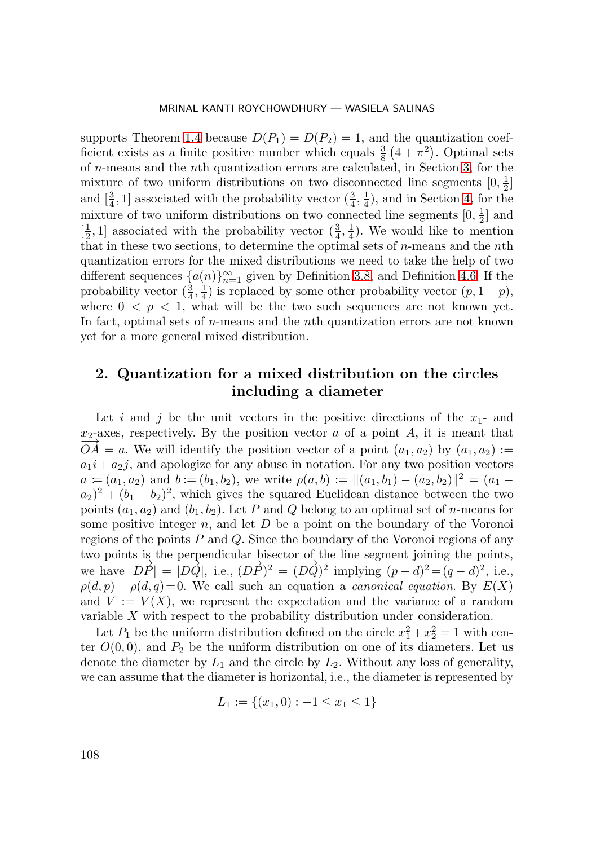supports Theorem [1.4](#page-3-0) because  $D(P_1) = D(P_2) = 1$ , and the quantization coefficient exists as a finite positive number which equals  $\frac{3}{8}(4+\pi^2)$ . Optimal sets of n-means and the nth quantization errors are calculated, in Section [3,](#page-21-0) for the mixture of two uniform distributions on two disconnected line segments  $[0, \frac{1}{2}]$ and  $\left[\frac{3}{4}, 1\right]$  associated with the probability vector  $\left(\frac{3}{4}, \frac{1}{4}\right)$ , and in Section [4,](#page-29-0) for the mixture of two uniform distributions on two connected line segments  $[0, \frac{1}{2}]$  and  $\left[\frac{1}{2}, 1\right]$  associated with the probability vector  $\left(\frac{3}{4}, \frac{1}{4}\right)$ . We would like to mention that in these two sections, to determine the optimal sets of n-means and the nth quantization errors for the mixed distributions we need to take the help of two different sequences  $\{a(n)\}_{n=1}^{\infty}$  given by Definition [3.8,](#page-27-0) and Definition [4.6.](#page-33-0) If the probability vector  $(\frac{3}{4}, \frac{1}{4})$  is replaced by some other probability vector  $(p, 1-p)$ , where  $0 < p < 1$ , what will be the two such sequences are not known yet. In fact, optimal sets of  $n$ -means and the  $n$ <sup>th</sup> quantization errors are not known yet for a more general mixed distribution.

## <span id="page-4-0"></span>**2. Quantization for a mixed distribution on the circles including a diameter**

Let i and j be the unit vectors in the positive directions of the  $x_1$ - and  $x_2$ -axes, respectively. By the position vector a of a point A, it is meant that  $\overrightarrow{OA} = a$ . We will identify the position vector of a point  $(a_1, a_2)$  by  $(a_1, a_2)$  :=  $a_1i + a_2j$ , and apologize for any abuse in notation. For any two position vectors  $a = (a_1, a_2)$  and  $b := (b_1, b_2)$ , we write  $\rho(a, b) := ||(a_1, b_1) - (a_2, b_2)||^2 = (a_1 - b_2)$  $(a_2)^2 + (b_1 - b_2)^2$ , which gives the squared Euclidean distance between the two points  $(a_1, a_2)$  and  $(b_1, b_2)$ . Let P and Q belong to an optimal set of n-means for some positive integer  $n$ , and let  $D$  be a point on the boundary of the Voronoi regions of the points  $P$  and  $Q$ . Since the boundary of the Voronoi regions of any two points is the perpendicular bisector of the line segment joining the points, we have  $|\overrightarrow{DP}| = |\overrightarrow{DQ}|$ , i.e.,  $(\overrightarrow{DP})^2 = (\overrightarrow{DQ})^2$  implying  $(p-d)^2 = (q-d)^2$ , i.e.,  $\rho(d, p) - \rho(d, q) = 0$ . We call such an equation a *canonical equation*. By  $E(X)$ and  $V := V(X)$ , we represent the expectation and the variance of a random variable X with respect to the probability distribution under consideration.

Let  $P_1$  be the uniform distribution defined on the circle  $x_1^2 + x_2^2 = 1$  with center  $O(0,0)$ , and  $P_2$  be the uniform distribution on one of its diameters. Let us denote the diameter by  $L_1$  and the circle by  $L_2$ . Without any loss of generality, we can assume that the diameter is horizontal, i.e., the diameter is represented by

$$
L_1 := \{(x_1, 0) : -1 \le x_1 \le 1\}
$$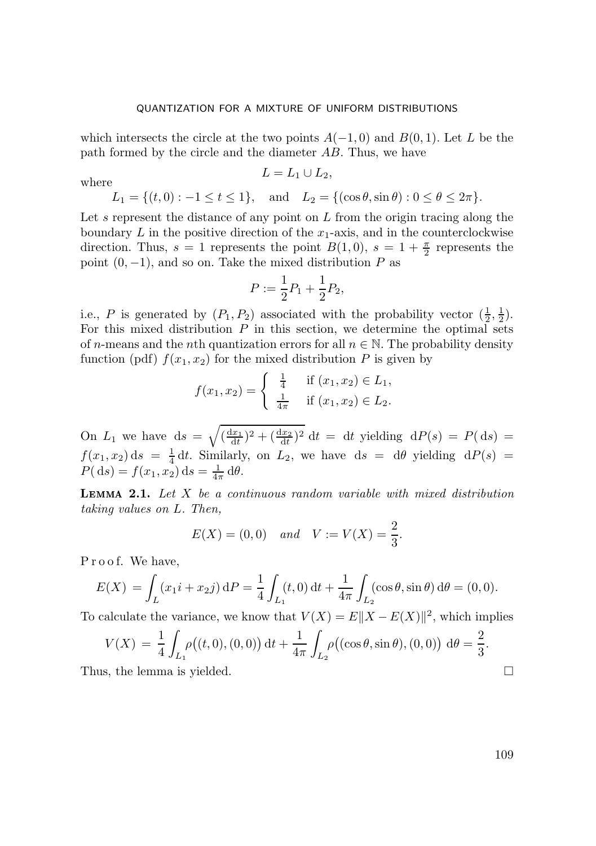which intersects the circle at the two points  $A(-1,0)$  and  $B(0,1)$ . Let L be the path formed by the circle and the diameter AB. Thus, we have

where 
$$
L = L_1 \cup L_2,
$$

 $L_1 = \{(t, 0) : -1 \le t \le 1\}, \text{ and } L_2 = \{(\cos \theta, \sin \theta) : 0 \le \theta \le 2\pi\}.$ 

Let s represent the distance of any point on  $L$  from the origin tracing along the boundary  $L$  in the positive direction of the  $x_1$ -axis, and in the counterclockwise direction. Thus,  $s = 1$  represents the point  $B(1,0)$ ,  $s = 1 + \frac{\pi}{2}$  represents the point  $(0, -1)$ , and so on. Take the mixed distribution P as

$$
P := \frac{1}{2}P_1 + \frac{1}{2}P_2,
$$

i.e., P is generated by  $(P_1, P_2)$  associated with the probability vector  $(\frac{1}{2}, \frac{1}{2})$ . For this mixed distribution  $P$  in this section, we determine the optimal sets of n-means and the nth quantization errors for all  $n \in \mathbb{N}$ . The probability density function (pdf)  $f(x_1, x_2)$  for the mixed distribution P is given by

$$
f(x_1, x_2) = \begin{cases} \frac{1}{4} & \text{if } (x_1, x_2) \in L_1, \\ \frac{1}{4\pi} & \text{if } (x_1, x_2) \in L_2. \end{cases}
$$

On  $L_1$  we have  $ds = \sqrt{\frac{dx_1}{dt}^2 + \frac{dx_2}{dt}^2} dt = dt$  yielding  $dP(s) = P(ds)$  $f(x_1, x_2)$  ds =  $\frac{1}{4}$  dt. Similarly, on  $L_2$ , we have ds = d $\theta$  yielding d $P(s)$  =  $P(\mathrm{d}s) = f(x_1, x_2) \mathrm{d}s = \frac{1}{4\pi} \mathrm{d}\theta.$ 

 **2.1** *Let* X *be a continuous random variable with mixed distribution taking values on* L*. Then,*

$$
E(X) = (0,0)
$$
 and  $V := V(X) = \frac{2}{3}$ .

Proof. We have,

$$
E(X) = \int_{L} (x_1 i + x_2 j) dP = \frac{1}{4} \int_{L_1} (t, 0) dt + \frac{1}{4\pi} \int_{L_2} (\cos \theta, \sin \theta) d\theta = (0, 0).
$$

To calculate the variance, we know that  $V(X) = E||X - E(X)||^2$ , which implies

$$
V(X) = \frac{1}{4} \int_{L_1} \rho((t, 0), (0, 0)) dt + \frac{1}{4\pi} \int_{L_2} \rho((\cos \theta, \sin \theta), (0, 0)) d\theta = \frac{2}{3}.
$$
  
s, the lemma is yielded.

Thus, the lemma is yielded.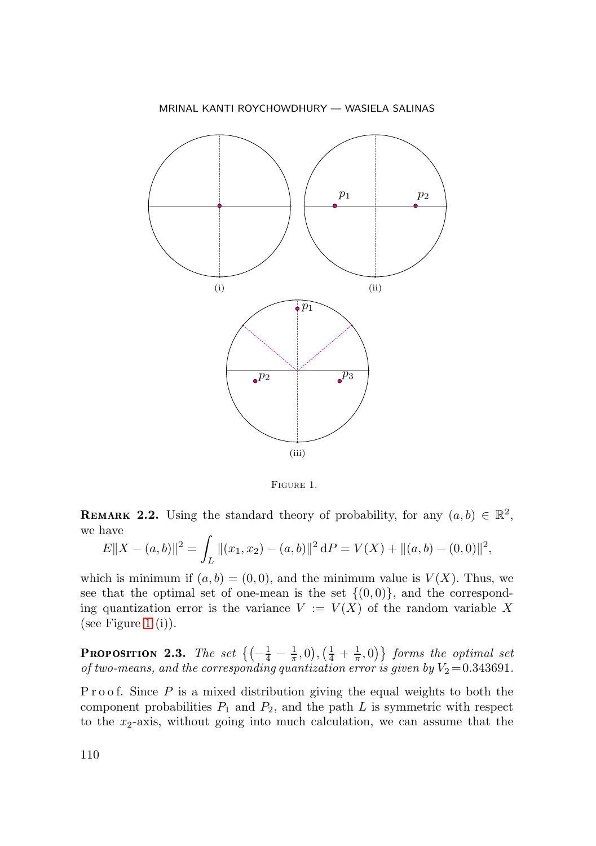

<span id="page-6-0"></span>Figure 1.

**REMARK 2.2.** Using the standard theory of probability, for any  $(a, b) \in \mathbb{R}^2$ , we have

$$
E||X - (a, b)||^2 = \int_L ||(x_1, x_2) - (a, b)||^2 dP = V(X) + ||(a, b) - (0, 0)||^2,
$$

which is minimum if  $(a, b) = (0, 0)$ , and the minimum value is  $V(X)$ . Thus, we see that the optimal set of one-mean is the set  $\{(0,0)\}\text{, and the correspond$ ing quantization error is the variance  $V := V(X)$  of the random variable X (see Figure [1](#page-6-0)  $(i)$ ).

**PROPOSITION 2.3.** The set  $\left\{ \left( -\frac{1}{4} - \frac{1}{\pi}, 0 \right), \left( \frac{1}{4} + \frac{1}{\pi}, 0 \right) \right\}$  forms the optimal set *of two-means, and the corresponding quantization error is given by*  $V_2 = 0.343691$ .

P r o o f. Since  $P$  is a mixed distribution giving the equal weights to both the component probabilities  $P_1$  and  $P_2$ , and the path L is symmetric with respect to the  $x_2$ -axis, without going into much calculation, we can assume that the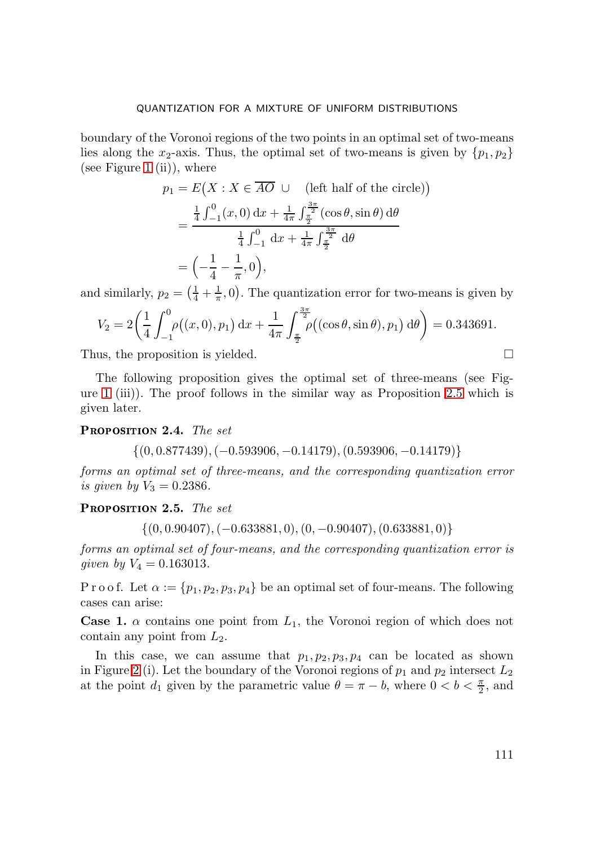boundary of the Voronoi regions of the two points in an optimal set of two-means lies along the x<sub>2</sub>-axis. Thus, the optimal set of two-means is given by  $\{p_1, p_2\}$ (see Figure [1](#page-6-0) (ii)), where

$$
p_1 = E(X : X \in \overline{AO} \cup (\text{left half of the circle}))
$$
  
= 
$$
\frac{\frac{1}{4} \int_{-1}^{0} (x, 0) \, dx + \frac{1}{4\pi} \int_{\frac{\pi}{2}}^{\frac{3\pi}{2}} (\cos \theta, \sin \theta) \, d\theta}{\frac{1}{4} \int_{-1}^{0} dx + \frac{1}{4\pi} \int_{\frac{\pi}{2}}^{\frac{3\pi}{2}} d\theta}
$$
  
= 
$$
\left(-\frac{1}{4} - \frac{1}{\pi}, 0\right),
$$

and similarly,  $p_2 = \left(\frac{1}{4} + \frac{1}{\pi}, 0\right)$ . The quantization error for two-means is given by

$$
V_2 = 2\left(\frac{1}{4}\int_{-1}^0 \rho((x,0),p_1) dx + \frac{1}{4\pi} \int_{\frac{\pi}{2}}^{\frac{3\pi}{2}} \rho((\cos\theta,\sin\theta),p_1) d\theta\right) = 0.343691.
$$

Thus, the proposition is yielded.  $\Box$ 

The following proposition gives the optimal set of three-means (see Figure [1](#page-6-0) (iii)). The proof follows in the similar way as Proposition [2.5](#page-7-0) which is given later.

PROPOSITION 2.4. The set

$$
\{(0, 0.877439), (-0.593906, -0.14179), (0.593906, -0.14179)\}
$$

*forms an optimal set of three-means, and the corresponding quantization error is given by*  $V_3 = 0.2386$ .

<span id="page-7-0"></span>PROPOSITION 2.5. The set

 $\{(0, 0.90407), (-0.633881, 0), (0, -0.90407), (0.633881, 0)\}\$ 

*forms an optimal set of four-means, and the corresponding quantization error is given by*  $V_4 = 0.163013$ .

P r o o f. Let  $\alpha := \{p_1, p_2, p_3, p_4\}$  be an optimal set of four-means. The following cases can arise:

**Case 1.**  $\alpha$  contains one point from  $L_1$ , the Voronoi region of which does not contain any point from  $L_2$ .

In this case, we can assume that  $p_1, p_2, p_3, p_4$  can be located as shown in Figure [2](#page-9-0) (i). Let the boundary of the Voronoi regions of  $p_1$  and  $p_2$  intersect  $L_2$ at the point  $d_1$  given by the parametric value  $\theta = \pi - b$ , where  $0 < b < \frac{\pi}{2}$ , and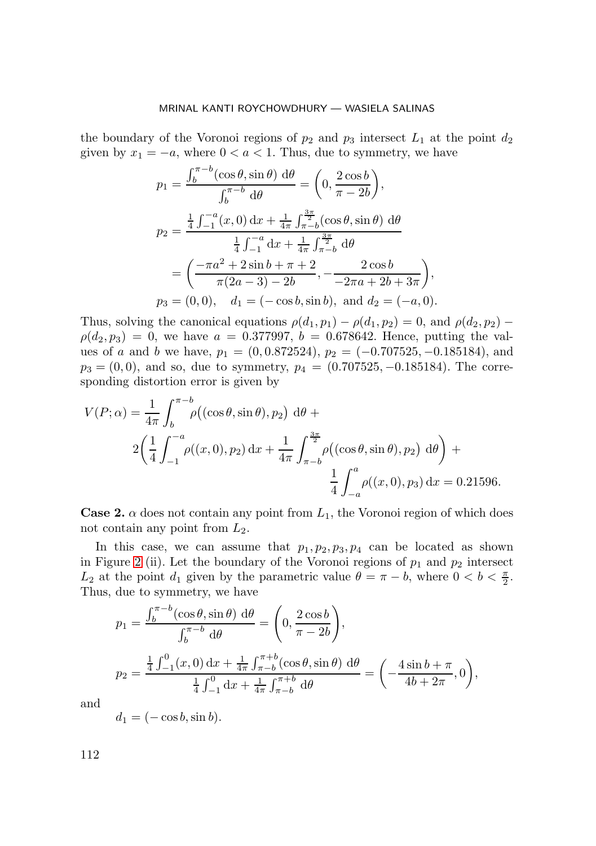the boundary of the Voronoi regions of  $p_2$  and  $p_3$  intersect  $L_1$  at the point  $d_2$ given by  $x_1 = -a$ , where  $0 < a < 1$ . Thus, due to symmetry, we have

$$
p_1 = \frac{\int_b^{\pi - b} (\cos \theta, \sin \theta) d\theta}{\int_b^{\pi - b} d\theta} = \left(0, \frac{2 \cos b}{\pi - 2b}\right),
$$
  
\n
$$
p_2 = \frac{\frac{1}{4} \int_{-1}^{-a} (x, 0) dx + \frac{1}{4\pi} \int_{\pi - b}^{\frac{3\pi}{2}} (\cos \theta, \sin \theta) d\theta}{\frac{1}{4} \int_{-1}^{-a} dx + \frac{1}{4\pi} \int_{\pi - b}^{\frac{3\pi}{2}} d\theta}
$$
  
\n
$$
= \left(\frac{-\pi a^2 + 2 \sin b + \pi + 2}{\pi (2a - 3) - 2b}, -\frac{2 \cos b}{-2\pi a + 2b + 3\pi}\right),
$$
  
\n
$$
p_3 = (0, 0), \quad d_1 = (-\cos b, \sin b), \text{ and } d_2 = (-a, 0).
$$

Thus, solving the canonical equations  $\rho(d_1, p_1) - \rho(d_1, p_2) = 0$ , and  $\rho(d_2, p_2) \rho(d_2, p_3) = 0$ , we have  $a = 0.377997$ ,  $b = 0.678642$ . Hence, putting the values of a and b we have,  $p_1 = (0, 0.872524), p_2 = (-0.707525, -0.185184),$  and  $p_3 = (0, 0)$ , and so, due to symmetry,  $p_4 = (0.707525, -0.185184)$ . The corresponding distortion error is given by

$$
V(P; \alpha) = \frac{1}{4\pi} \int_{b}^{\pi - b} \rho((\cos \theta, \sin \theta), p_2) \, d\theta +
$$
  

$$
2\left(\frac{1}{4} \int_{-1}^{-a} \rho((x, 0), p_2) \, dx + \frac{1}{4\pi} \int_{\pi - b}^{\frac{3\pi}{2}} \rho((\cos \theta, \sin \theta), p_2) \, d\theta\right) +
$$
  

$$
\frac{1}{4} \int_{-a}^{a} \rho((x, 0), p_3) \, dx = 0.21596.
$$

**Case 2.**  $\alpha$  does not contain any point from  $L_1$ , the Voronoi region of which does not contain any point from  $L_2$ .

In this case, we can assume that  $p_1, p_2, p_3, p_4$  can be located as shown in Figure [2](#page-9-0) (ii). Let the boundary of the Voronoi regions of  $p_1$  and  $p_2$  intersect  $L_2$  at the point  $d_1$  given by the parametric value  $\theta = \pi - b$ , where  $0 < b < \frac{\pi}{2}$ . Thus, due to symmetry, we have

$$
p_1 = \frac{\int_b^{\pi - b} (\cos \theta, \sin \theta) \, d\theta}{\int_b^{\pi - b} d\theta} = \left( 0, \frac{2 \cos b}{\pi - 2b} \right),
$$
  

$$
p_2 = \frac{\frac{1}{4} \int_{-1}^0 (x, 0) \, dx + \frac{1}{4\pi} \int_{\pi - b}^{\pi + b} (\cos \theta, \sin \theta) \, d\theta}{\frac{1}{4} \int_{-1}^0 dx + \frac{1}{4\pi} \int_{\pi - b}^{\pi + b} d\theta} = \left( -\frac{4 \sin b + \pi}{4b + 2\pi}, 0 \right),
$$

and

$$
d_1 = (-\cos b, \sin b).
$$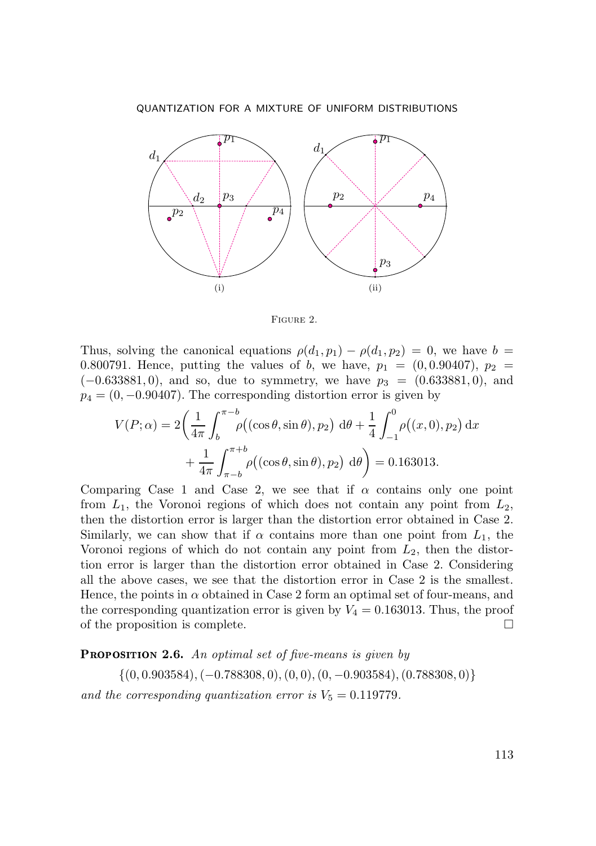QUANTIZATION FOR A MIXTURE OF UNIFORM DISTRIBUTIONS



<span id="page-9-0"></span>Figure 2.

Thus, solving the canonical equations  $\rho(d_1, p_1) - \rho(d_1, p_2) = 0$ , we have  $b =$ 0.800791. Hence, putting the values of b, we have,  $p_1 = (0, 0.90407), p_2 =$  $(-0.633881, 0)$ , and so, due to symmetry, we have  $p_3 = (0.633881, 0)$ , and  $p_4 = (0, -0.90407)$ . The corresponding distortion error is given by

$$
V(P; \alpha) = 2 \left( \frac{1}{4\pi} \int_b^{\pi - b} \rho((\cos \theta, \sin \theta), p_2) \, d\theta + \frac{1}{4} \int_{-1}^0 \rho((x, 0), p_2) \, dx + \frac{1}{4\pi} \int_{\pi - b}^{\pi + b} \rho((\cos \theta, \sin \theta), p_2) \, d\theta \right) = 0.163013.
$$

Comparing Case 1 and Case 2, we see that if  $\alpha$  contains only one point from  $L_1$ , the Voronoi regions of which does not contain any point from  $L_2$ , then the distortion error is larger than the distortion error obtained in Case 2. Similarly, we can show that if  $\alpha$  contains more than one point from  $L_1$ , the Voronoi regions of which do not contain any point from  $L_2$ , then the distortion error is larger than the distortion error obtained in Case 2. Considering all the above cases, we see that the distortion error in Case 2 is the smallest. Hence, the points in  $\alpha$  obtained in Case 2 form an optimal set of four-means, and the corresponding quantization error is given by  $V_4 = 0.163013$ . Thus, the proof of the proposition is complete.  $\Box$ 

<span id="page-9-1"></span>**PROPOSITION 2.6.** An optimal set of five-means is given by

 $\{(0, 0.903584), (-0.788308, 0), (0, 0), (0, -0.903584), (0.788308, 0)\}\$ 

and the corresponding quantization error is  $V_5 = 0.119779$ .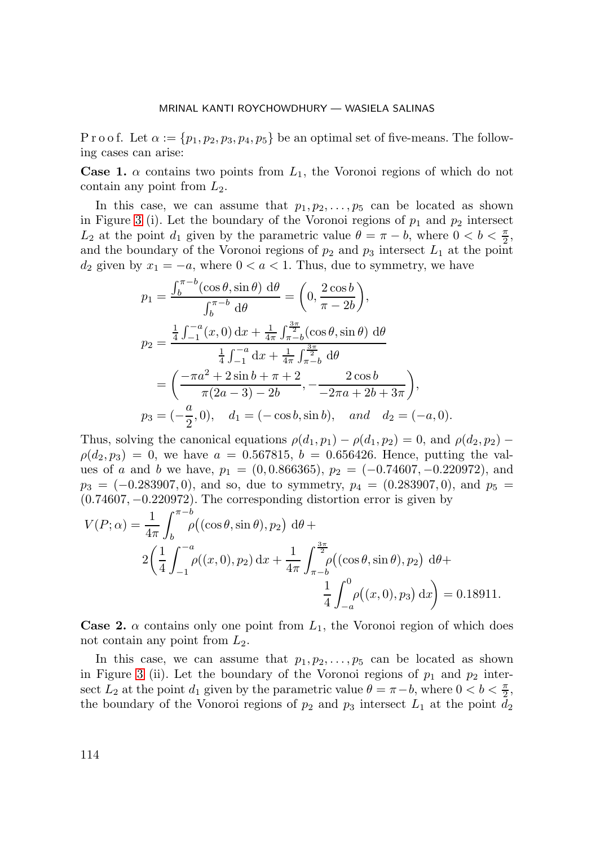P r o o f. Let  $\alpha := \{p_1, p_2, p_3, p_4, p_5\}$  be an optimal set of five-means. The following cases can arise:

**Case 1.**  $\alpha$  contains two points from  $L_1$ , the Voronoi regions of which do not contain any point from  $L_2$ .

In this case, we can assume that  $p_1, p_2, \ldots, p_5$  can be located as shown in Figure [3](#page-13-0) (i). Let the boundary of the Voronoi regions of  $p_1$  and  $p_2$  intersect  $L_2$  at the point  $d_1$  given by the parametric value  $\theta = \pi - b$ , where  $0 < b < \frac{\pi}{2}$ , and the boundary of the Voronoi regions of  $p_2$  and  $p_3$  intersect  $L_1$  at the point  $d_2$  given by  $x_1 = -a$ , where  $0 < a < 1$ . Thus, due to symmetry, we have

$$
p_1 = \frac{\int_b^{\pi - b} (\cos \theta, \sin \theta) d\theta}{\int_b^{\pi - b} d\theta} = \left( 0, \frac{2 \cos b}{\pi - 2b} \right),
$$
  
\n
$$
p_2 = \frac{\frac{1}{4} \int_{-1}^{-a} (x, 0) dx + \frac{1}{4\pi} \int_{\pi - b}^{\frac{3\pi}{2}} (\cos \theta, \sin \theta) d\theta}{\frac{1}{4} \int_{-1}^{-a} dx + \frac{1}{4\pi} \int_{\pi - b}^{\frac{3\pi}{2}} d\theta}
$$
  
\n
$$
= \left( \frac{-\pi a^2 + 2 \sin b + \pi + 2}{\pi (2a - 3) - 2b}, -\frac{2 \cos b}{-2\pi a + 2b + 3\pi} \right),
$$
  
\n
$$
p_3 = (-\frac{a}{2}, 0), d_1 = (-\cos b, \sin b), \text{ and } d_2 = (-a, 0).
$$

Thus, solving the canonical equations  $\rho(d_1, p_1) - \rho(d_1, p_2) = 0$ , and  $\rho(d_2, p_2) \rho(d_2, p_3) = 0$ , we have  $a = 0.567815$ ,  $b = 0.656426$ . Hence, putting the values of a and b we have,  $p_1 = (0, 0.866365), p_2 = (-0.74607, -0.220972),$  and  $p_3 = (-0.283907, 0)$ , and so, due to symmetry,  $p_4 = (0.283907, 0)$ , and  $p_5 =$ (0.74607, −0.220972). The corresponding distortion error is given by

$$
V(P; \alpha) = \frac{1}{4\pi} \int_{b}^{\pi - b} \rho((\cos \theta, \sin \theta), p_2) \, d\theta +
$$
  

$$
2\left(\frac{1}{4} \int_{-1}^{-a} \rho((x, 0), p_2) \, dx + \frac{1}{4\pi} \int_{\pi - b}^{\frac{3\pi}{2}} \rho((\cos \theta, \sin \theta), p_2) \, d\theta +
$$
  

$$
\frac{1}{4} \int_{-a}^{0} \rho((x, 0), p_3) \, dx\right) = 0.18911.
$$

**Case 2.**  $\alpha$  contains only one point from  $L_1$ , the Voronoi region of which does not contain any point from  $L_2$ .

In this case, we can assume that  $p_1, p_2, \ldots, p_5$  can be located as shown in Figure [3](#page-13-0) (ii). Let the boundary of the Voronoi regions of  $p_1$  and  $p_2$  intersect  $\overline{L}_2$  at the point  $d_1$  given by the parametric value  $\theta = \pi - b$ , where  $0 < b < \frac{\pi}{2}$ , the boundary of the Vonoroi regions of  $p_2$  and  $p_3$  intersect  $L_1$  at the point  $d_2$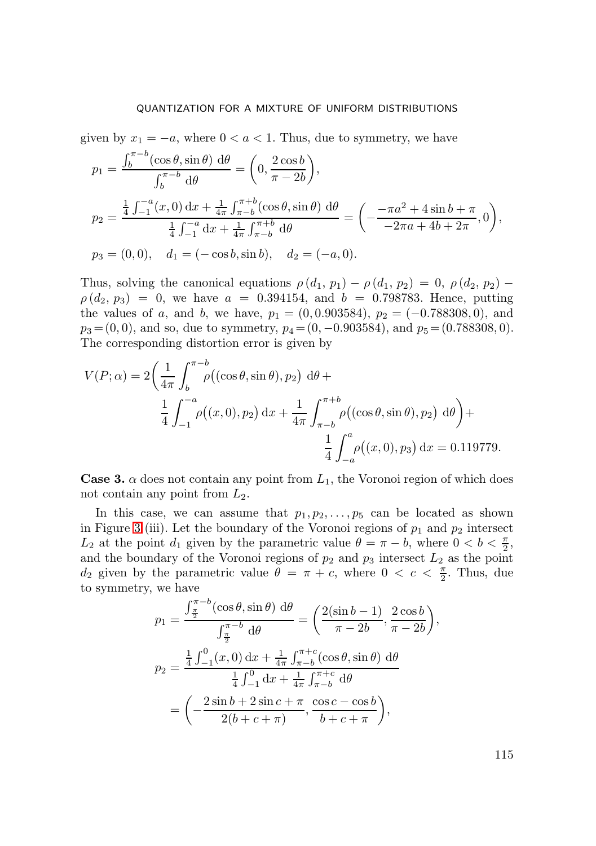given by  $x_1 = -a$ , where  $0 < a < 1$ . Thus, due to symmetry, we have

$$
p_1 = \frac{\int_b^{\pi - b} (\cos \theta, \sin \theta) d\theta}{\int_b^{\pi - b} d\theta} = \left(0, \frac{2 \cos b}{\pi - 2b}\right),
$$
  
\n
$$
p_2 = \frac{\frac{1}{4} \int_{-1}^{-a} (x, 0) dx + \frac{1}{4\pi} \int_{\pi - b}^{\pi + b} (\cos \theta, \sin \theta) d\theta}{\frac{1}{4} \int_{-1}^{-a} dx + \frac{1}{4\pi} \int_{\pi - b}^{\pi + b} d\theta} = \left(-\frac{-\pi a^2 + 4 \sin b + \pi}{-2\pi a + 4b + 2\pi}, 0\right),
$$
  
\n
$$
p_3 = (0, 0), \quad d_1 = (-\cos b, \sin b), \quad d_2 = (-a, 0).
$$

Thus, solving the canonical equations  $\rho(d_1, p_1) - \rho(d_1, p_2) = 0$ ,  $\rho(d_2, p_2) \rho(d_2, p_3) = 0$ , we have  $a = 0.394154$ , and  $b = 0.798783$ . Hence, putting the values of a, and b, we have,  $p_1 = (0, 0.903584), p_2 = (-0.788308, 0),$  and  $p_3 = (0, 0)$ , and so, due to symmetry,  $p_4 = (0, -0.903584)$ , and  $p_5 = (0.788308, 0)$ . The corresponding distortion error is given by

$$
V(P; \alpha) = 2 \left( \frac{1}{4\pi} \int_b^{\pi - b} \rho((\cos \theta, \sin \theta), p_2) \, d\theta + \frac{1}{4} \int_{-1}^{-a} \rho((x, 0), p_2) \, dx + \frac{1}{4\pi} \int_{\pi - b}^{\pi + b} \rho((\cos \theta, \sin \theta), p_2) \, d\theta \right) + \frac{1}{4} \int_{-a}^{a} \rho((x, 0), p_3) \, dx = 0.119779.
$$

**Case 3.**  $\alpha$  does not contain any point from  $L_1$ , the Voronoi region of which does not contain any point from  $L_2$ .

In this case, we can assume that  $p_1, p_2, \ldots, p_5$  can be located as shown in Figure [3](#page-13-0) (iii). Let the boundary of the Voronoi regions of  $p_1$  and  $p_2$  intersect  $L_2$  at the point  $d_1$  given by the parametric value  $\theta = \pi - b$ , where  $0 < b < \frac{\pi}{2}$ , and the boundary of the Voronoi regions of  $p_2$  and  $p_3$  intersect  $L_2$  as the point  $d_2$  given by the parametric value  $\theta = \pi + c$ , where  $0 < c < \frac{\pi}{2}$ . Thus, due to symmetry, we have

$$
p_1 = \frac{\int_{\frac{\pi}{2}}^{\pi-b} (\cos \theta, \sin \theta) d\theta}{\int_{\frac{\pi}{2}}^{\pi-b} d\theta} = \left(\frac{2(\sin b - 1)}{\pi - 2b}, \frac{2 \cos b}{\pi - 2b}\right),
$$
  

$$
p_2 = \frac{\frac{1}{4} \int_{-1}^{0} (x, 0) dx + \frac{1}{4\pi} \int_{\pi-b}^{\pi+c} (\cos \theta, \sin \theta) d\theta}{\frac{1}{4} \int_{-1}^{0} dx + \frac{1}{4\pi} \int_{\pi-b}^{\pi+c} d\theta}
$$
  

$$
= \left(-\frac{2 \sin b + 2 \sin c + \pi}{2(b + c + \pi)}, \frac{\cos c - \cos b}{b + c + \pi}\right),
$$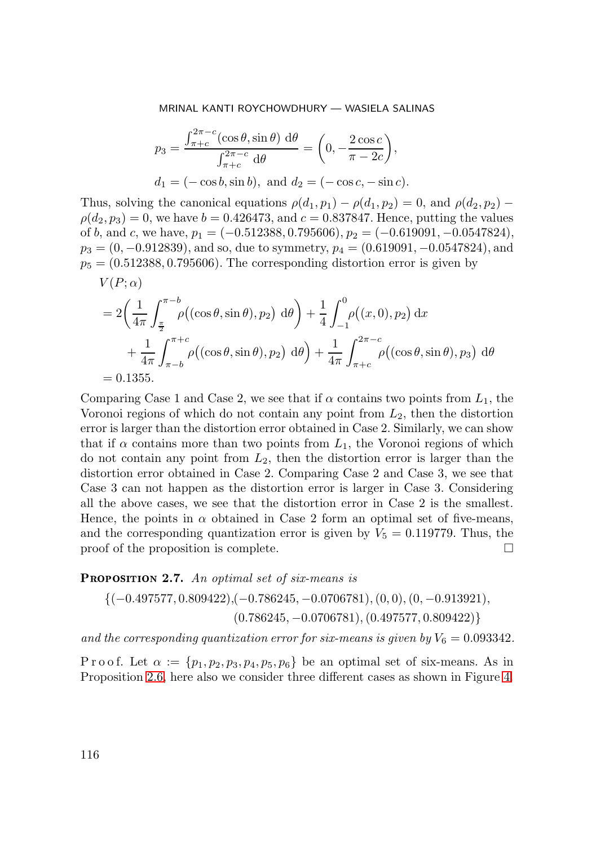$$
p_3 = \frac{\int_{\pi+c}^{2\pi-c} (\cos \theta, \sin \theta) d\theta}{\int_{\pi+c}^{2\pi-c} d\theta} = \left(0, -\frac{2 \cos c}{\pi - 2c}\right),
$$
  

$$
d_1 = (-\cos b, \sin b), \text{ and } d_2 = (-\cos c, -\sin c).
$$

Thus, solving the canonical equations  $\rho(d_1, p_1) - \rho(d_1, p_2) = 0$ , and  $\rho(d_2, p_2) \rho(d_2, p_3) = 0$ , we have  $b = 0.426473$ , and  $c = 0.837847$ . Hence, putting the values of b, and c, we have,  $p_1 = (-0.512388, 0.795606), p_2 = (-0.619091, -0.0547824),$  $p_3 = (0, -0.912839)$ , and so, due to symmetry,  $p_4 = (0.619091, -0.0547824)$ , and  $p_5 = (0.512388, 0.795606)$ . The corresponding distortion error is given by

$$
V(P; \alpha)
$$
  
=  $2\left(\frac{1}{4\pi} \int_{\frac{\pi}{2}}^{\pi - b} \rho((\cos \theta, \sin \theta), p_2) d\theta\right) + \frac{1}{4} \int_{-1}^{0} \rho((x, 0), p_2) dx$   
+  $\frac{1}{4\pi} \int_{\pi - b}^{\pi + c} \rho((\cos \theta, \sin \theta), p_2) d\theta\right) + \frac{1}{4\pi} \int_{\pi + c}^{2\pi - c} \rho((\cos \theta, \sin \theta), p_3) d\theta$   
= 0.1355.

Comparing Case 1 and Case 2, we see that if  $\alpha$  contains two points from  $L_1$ , the Voronoi regions of which do not contain any point from  $L_2$ , then the distortion error is larger than the distortion error obtained in Case 2. Similarly, we can show that if  $\alpha$  contains more than two points from  $L_1$ , the Voronoi regions of which do not contain any point from  $L_2$ , then the distortion error is larger than the distortion error obtained in Case 2. Comparing Case 2 and Case 3, we see that Case 3 can not happen as the distortion error is larger in Case 3. Considering all the above cases, we see that the distortion error in Case 2 is the smallest. Hence, the points in  $\alpha$  obtained in Case 2 form an optimal set of five-means, and the corresponding quantization error is given by  $V_5 = 0.119779$ . Thus, the proof of the proposition is complete.  $\Box$ 

<span id="page-12-0"></span>**PROPOSITION 2.7.** An optimal set of six-means is

$$
\{(-0.497577, 0.809422), (-0.786245, -0.0706781), (0, 0), (0, -0.913921),(0.786245, -0.0706781), (0.497577, 0.809422)\}
$$

*and the corresponding quantization error for six-means is given by*  $V_6 = 0.093342$ .

P r o o f. Let  $\alpha := \{p_1, p_2, p_3, p_4, p_5, p_6\}$  be an optimal set of six-means. As in Proposition [2.6,](#page-9-1) here also we consider three different cases as shown in Figure [4.](#page-14-0)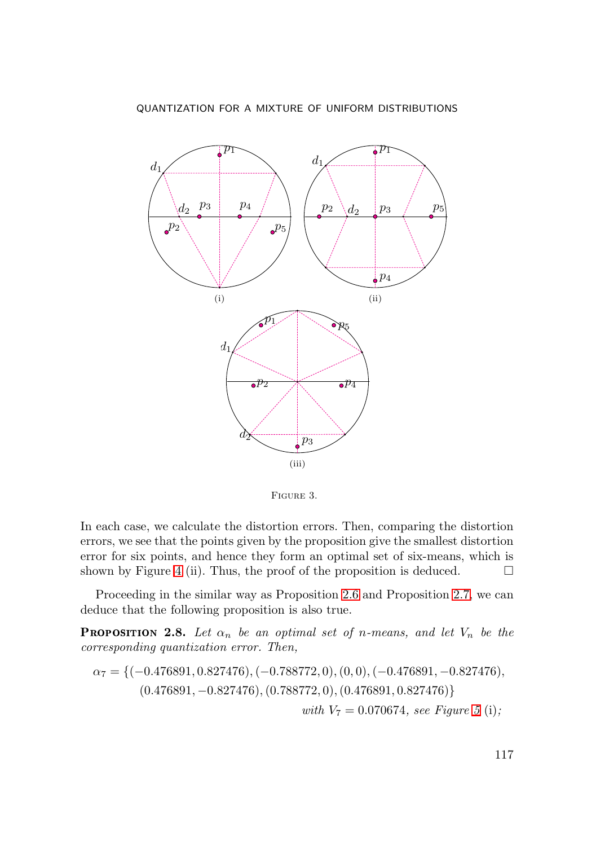

<span id="page-13-0"></span>Figure 3.

In each case, we calculate the distortion errors. Then, comparing the distortion errors, we see that the points given by the proposition give the smallest distortion error for six points, and hence they form an optimal set of six-means, which is shown by Figure [4](#page-14-0) (ii). Thus, the proof of the proposition is deduced.  $\Box$ 

Proceeding in the similar way as Proposition [2.6](#page-9-1) and Proposition [2.7,](#page-12-0) we can deduce that the following proposition is also true.

**PROPOSITION 2.8.** Let  $\alpha_n$  be an optimal set of n-means, and let  $V_n$  be the *corresponding quantization error. Then,*

$$
\alpha_7 = \{(-0.476891, 0.827476), (-0.788772, 0), (0, 0), (-0.476891, -0.827476), (0.476891, -0.827476), (0.788772, 0), (0.476891, 0.827476)\}
$$
  
with  $V_7 = 0.070674$ , see Figure 5 (i);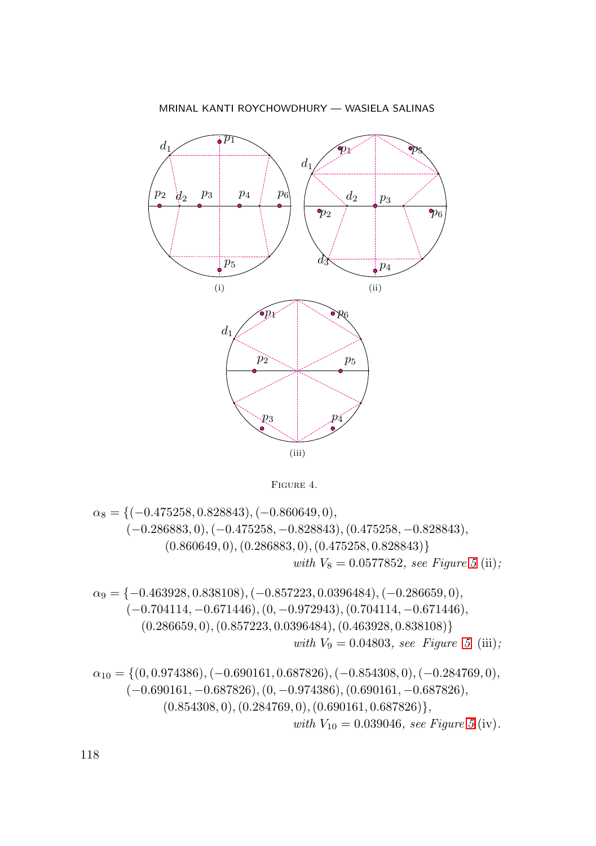

<span id="page-14-0"></span>FIGURE 4.

$$
\alpha_8 = \{(-0.475258, 0.828843), (-0.860649, 0),\ (-0.286883, 0), (-0.475258, -0.828843), (0.475258, -0.828843),\ (0.860649, 0), (0.286883, 0), (0.475258, 0.828843)\}\twith V_8 = 0.0577852, see Figure 5 (ii);\n
$$
\alpha_9 = \{-0.463928, 0.838108), (-0.857223, 0.0396484), (-0.286659, 0),\ (-0.704114, -0.671446), (0, -0.972943), (0.704114, -0.671446),\ (0.286659, 0), (0.857223, 0.0396484), (0.463928, 0.838108)\}\twith V_9 = 0.04803, see Figure 5 (iii);\n
$$
\alpha_{10} = \{(0, 0.974386), (-0.690161, 0.687826), (-0.854308, 0), (-0.284769, 0),\ (-0.690161, -0.687826), (0, -0.974386), (0.690161, -0.687826),\ (0.854308, 0), (0.284769, 0), (0.690161, 0.687826)\},\twith V_{10} = 0.039046, see Figure 5 (iv).
$$
$$
$$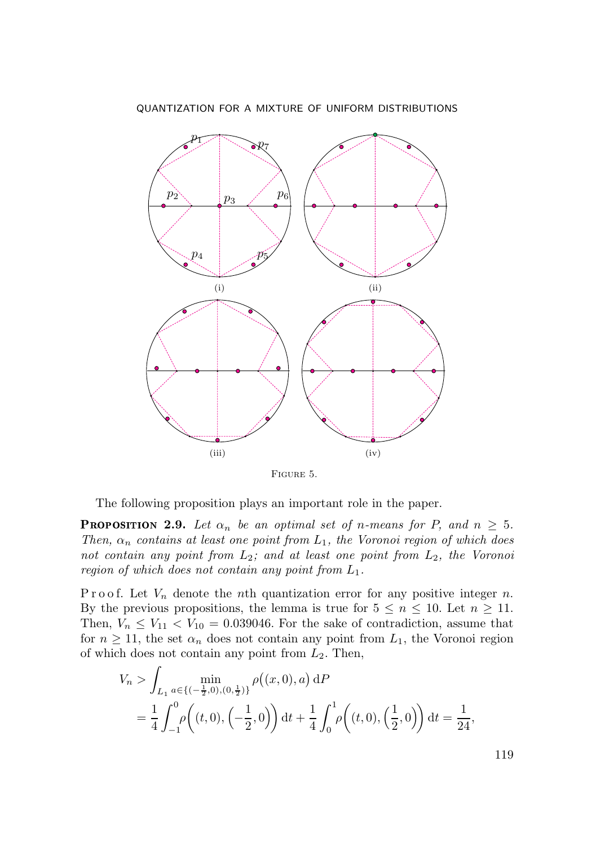

<span id="page-15-0"></span>Figure 5.

The following proposition plays an important role in the paper.

<span id="page-15-1"></span>**PROPOSITION 2.9.** Let  $\alpha_n$  be an optimal set of n-means for P, and  $n \geq 5$ . *Then,*  $\alpha_n$  *contains at least one point from*  $L_1$ *, the Voronoi region of which does not contain any point from* L2*; and at least one point from* L2*, the Voronoi region of which does not contain any point from* L1*.*

P r o o f. Let  $V_n$  denote the nth quantization error for any positive integer n. By the previous propositions, the lemma is true for  $5 \leq n \leq 10$ . Let  $n \geq 11$ . Then,  $V_n \leq V_{11} < V_{10} = 0.039046$ . For the sake of contradiction, assume that for  $n \geq 11$ , the set  $\alpha_n$  does not contain any point from  $L_1$ , the Voronoi region of which does not contain any point from  $L_2$ . Then,

$$
V_n > \int_{L_1} \min_{a \in \{(-\frac{1}{2},0),(0,\frac{1}{2})\}} \rho((x,0),a) \,dP
$$
  
=  $\frac{1}{4} \int_{-1}^0 \rho((t,0),\left(-\frac{1}{2},0\right)) \,dt + \frac{1}{4} \int_0^1 \rho((t,0),\left(\frac{1}{2},0\right)) \,dt = \frac{1}{24},$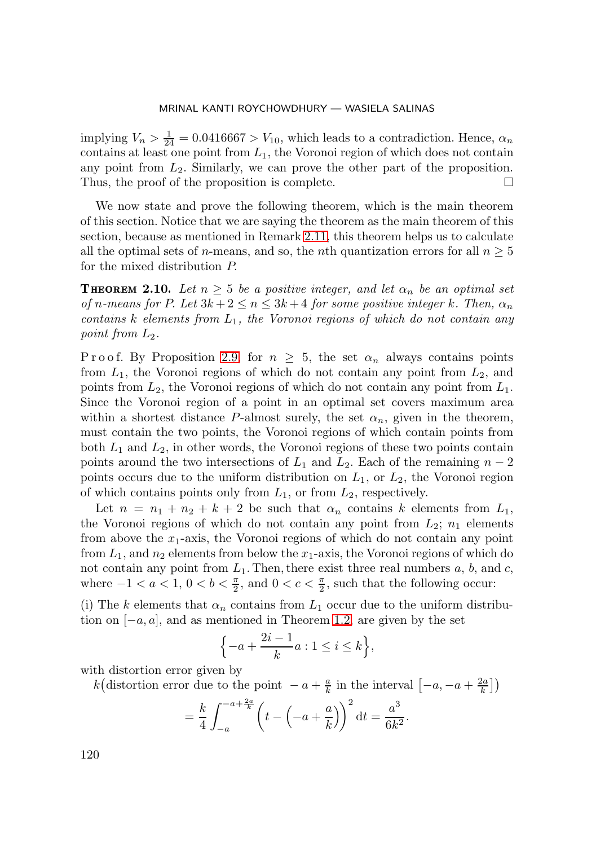implying  $V_n > \frac{1}{24} = 0.0416667 > V_{10}$ , which leads to a contradiction. Hence,  $\alpha_n$ contains at least one point from  $L_1$ , the Voronoi region of which does not contain any point from  $L_2$ . Similarly, we can prove the other part of the proposition. Thus, the proof of the proposition is complete.  $\Box$ 

We now state and prove the following theorem, which is the main theorem of this section. Notice that we are saying the theorem as the main theorem of this section, because as mentioned in Remark [2.11,](#page-19-0) this theorem helps us to calculate all the optimal sets of *n*-means, and so, the *n*th quantization errors for all  $n \geq 5$ for the mixed distribution P.

<span id="page-16-0"></span>**THEOREM 2.10.** Let  $n \geq 5$  be a positive integer, and let  $\alpha_n$  be an optimal set *of* n-means for P. Let  $3k + 2 \le n \le 3k + 4$  for some positive integer k. Then,  $\alpha_n$ *contains* k *elements from* L1*, the Voronoi regions of which do not contain any point from*  $L_2$ *.* 

P r o o f. By Proposition [2.9,](#page-15-1) for  $n \geq 5$ , the set  $\alpha_n$  always contains points from  $L_1$ , the Voronoi regions of which do not contain any point from  $L_2$ , and points from  $L_2$ , the Voronoi regions of which do not contain any point from  $L_1$ . Since the Voronoi region of a point in an optimal set covers maximum area within a shortest distance P-almost surely, the set  $\alpha_n$ , given in the theorem, must contain the two points, the Voronoi regions of which contain points from both  $L_1$  and  $L_2$ , in other words, the Voronoi regions of these two points contain points around the two intersections of  $L_1$  and  $L_2$ . Each of the remaining  $n-2$ points occurs due to the uniform distribution on  $L_1$ , or  $L_2$ , the Voronoi region of which contains points only from  $L_1$ , or from  $L_2$ , respectively.

Let  $n = n_1 + n_2 + k + 2$  be such that  $\alpha_n$  contains k elements from  $L_1$ , the Voronoi regions of which do not contain any point from  $L_2$ ;  $n_1$  elements from above the  $x_1$ -axis, the Voronoi regions of which do not contain any point from  $L_1$ , and  $n_2$  elements from below the  $x_1$ -axis, the Voronoi regions of which do not contain any point from  $L_1$ . Then, there exist three real numbers  $a, b$ , and  $c$ , where  $-1 < a < 1, 0 < b < \frac{\pi}{2}$ , and  $0 < c < \frac{\pi}{2}$ , such that the following occur:

(i) The k elements that  $\alpha_n$  contains from  $L_1$  occur due to the uniform distribution on  $[-a, a]$ , and as mentioned in Theorem [1.2,](#page-2-1) are given by the set

$$
\left\{-a+\frac{2i-1}{k}a:1\leq i\leq k\right\},\
$$

with distortion error given by

k (distortion error due to the point  $-a+\frac{a}{k}$  in the interval  $\left[-a,-a+\frac{2a}{k}\right]$ )

$$
= \frac{k}{4} \int_{-a}^{-a + \frac{2a}{k}} \left( t - \left( -a + \frac{a}{k} \right) \right)^2 dt = \frac{a^3}{6k^2}.
$$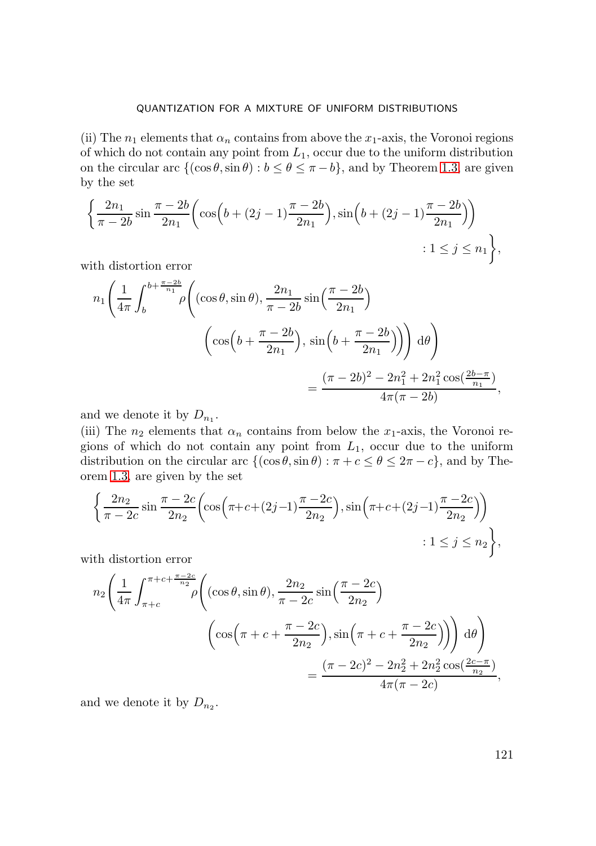(ii) The  $n_1$  elements that  $\alpha_n$  contains from above the  $x_1$ -axis, the Voronoi regions of which do not contain any point from  $L_1$ , occur due to the uniform distribution on the circular arc  $\{(\cos \theta, \sin \theta) : b \le \theta \le \pi - b\}$ , and by Theorem [1.3,](#page-2-2) are given by the set

$$
\left\{\frac{2n_1}{\pi - 2b} \sin \frac{\pi - 2b}{2n_1} \left( \cos \left(b + (2j - 1)\frac{\pi - 2b}{2n_1} \right), \sin \left(b + (2j - 1)\frac{\pi - 2b}{2n_1} \right) \right) \right\}
$$
  
1 \le j \le n\_1,

with distortion error

$$
n_1 \left(\frac{1}{4\pi} \int_b^{b+\frac{\pi-2b}{n_1}} \rho \left( (\cos\theta, \sin\theta), \frac{2n_1}{\pi-2b} \sin\left(\frac{\pi-2b}{2n_1}\right) \right) d\theta \right)
$$

$$
\left( \cos\left(b + \frac{\pi-2b}{2n_1}\right), \sin\left(b + \frac{\pi-2b}{2n_1}\right) \right) d\theta \right)
$$

$$
= \frac{(\pi-2b)^2 - 2n_1^2 + 2n_1^2 \cos(\frac{2b-\pi}{n_1})}{4\pi(\pi-2b)},
$$

and we denote it by  $D_{n_1}$ .

(iii) The  $n_2$  elements that  $\alpha_n$  contains from below the  $x_1$ -axis, the Voronoi regions of which do not contain any point from  $L_1$ , occur due to the uniform distribution on the circular arc  $\{(\cos \theta, \sin \theta) : \pi + c \le \theta \le 2\pi - c\}$ , and by Theorem [1.3,](#page-2-2) are given by the set

$$
\left\{\frac{2n_2}{\pi - 2c} \sin \frac{\pi - 2c}{2n_2} \left( \cos \left( \pi + c + (2j - 1) \frac{\pi - 2c}{2n_2} \right), \sin \left( \pi + c + (2j - 1) \frac{\pi - 2c}{2n_2} \right) \right) \right\}
$$
  
 
$$
: 1 \le j \le n_2 \right\},
$$

with distortion error

$$
n_2 \left( \frac{1}{4\pi} \int_{\pi+c}^{\pi+c+\frac{\pi-2c}{n_2}} \rho \left( (\cos \theta, \sin \theta), \frac{2n_2}{\pi-2c} \sin \left( \frac{\pi-2c}{2n_2} \right) \right) d\theta \right) - (\cos \left( \pi+c+\frac{\pi-2c}{2n_2} \right), \sin \left( \pi+c+\frac{\pi-2c}{2n_2} \right)) d\theta \right) = \frac{(\pi-2c)^2 - 2n_2^2 + 2n_2^2 \cos(\frac{2c-\pi}{n_2})}{4\pi(\pi-2c)},
$$

and we denote it by  $D_{n_2}$ .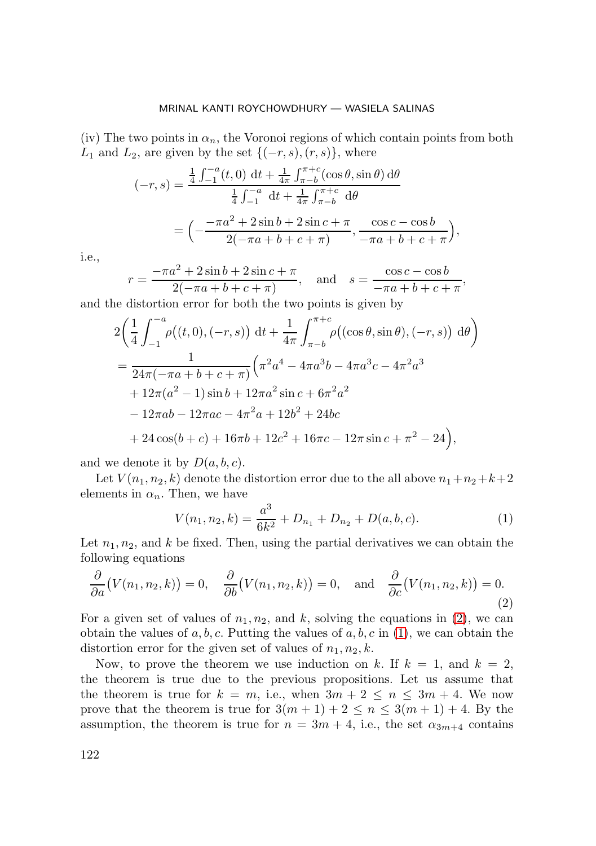(iv) The two points in  $\alpha_n$ , the Voronoi regions of which contain points from both  $L_1$  and  $L_2$ , are given by the set  $\{(-r, s), (r, s)\}\,$ , where

$$
(-r,s) = \frac{\frac{1}{4} \int_{-1}^{-a} (t,0) \, \mathrm{d}t + \frac{1}{4\pi} \int_{\pi-b}^{\pi+c} (\cos \theta, \sin \theta) \, \mathrm{d}\theta}{\frac{1}{4} \int_{-1}^{-a} \, \mathrm{d}t + \frac{1}{4\pi} \int_{\pi-b}^{\pi+c} \, \mathrm{d}\theta}
$$

$$
= \left( -\frac{-\pi a^2 + 2\sin b + 2\sin c + \pi}{2(-\pi a + b + c + \pi)}, \frac{\cos c - \cos b}{-\pi a + b + c + \pi} \right)
$$

i.e.,

$$
r = \frac{-\pi a^2 + 2\sin b + 2\sin c + \pi}{2(-\pi a + b + c + \pi)}, \quad \text{and} \quad s = \frac{\cos c - \cos b}{-\pi a + b + c + \pi},
$$

,

and the distortion error for both the two points is given by

$$
2\left(\frac{1}{4}\int_{-1}^{-a}\rho((t,0),(-r,s))\,dt+\frac{1}{4\pi}\int_{\pi-b}^{\pi+c}\rho((\cos\theta,\sin\theta),(-r,s))\,d\theta\right)
$$
  
=\frac{1}{24\pi(-\pi a+b+c+\pi)}\left(\pi^2a^4-4\pi a^3b-4\pi a^3c-4\pi^2a^3\right)  
+12\pi(a^2-1)\sin b+12\pi a^2\sin c+6\pi^2a^2  
-12\pi ab-12\pi ac-4\pi^2a+12b^2+24bc  
+24\cos(b+c)+16\pi b+12c^2+16\pi c-12\pi\sin c+\pi^2-24\right),

and we denote it by  $D(a, b, c)$ .

Let  $V(n_1, n_2, k)$  denote the distortion error due to the all above  $n_1+n_2+k+2$ elements in  $\alpha_n$ . Then, we have

<span id="page-18-1"></span>
$$
V(n_1, n_2, k) = \frac{a^3}{6k^2} + D_{n_1} + D_{n_2} + D(a, b, c).
$$
 (1)

Let  $n_1, n_2$ , and k be fixed. Then, using the partial derivatives we can obtain the following equations

<span id="page-18-0"></span>
$$
\frac{\partial}{\partial a}(V(n_1, n_2, k)) = 0, \quad \frac{\partial}{\partial b}(V(n_1, n_2, k)) = 0, \quad \text{and} \quad \frac{\partial}{\partial c}(V(n_1, n_2, k)) = 0.
$$
\n(2)

For a given set of values of  $n_1, n_2$ , and k, solving the equations in [\(2\)](#page-18-0), we can obtain the values of a, b, c. Putting the values of a, b, c in  $(1)$ , we can obtain the distortion error for the given set of values of  $n_1, n_2, k$ .

Now, to prove the theorem we use induction on k. If  $k = 1$ , and  $k = 2$ , the theorem is true due to the previous propositions. Let us assume that the theorem is true for  $k = m$ , i.e., when  $3m + 2 \leq n \leq 3m + 4$ . We now prove that the theorem is true for  $3(m+1)+2 \leq n \leq 3(m+1)+4$ . By the assumption, the theorem is true for  $n = 3m + 4$ , i.e., the set  $\alpha_{3m+4}$  contains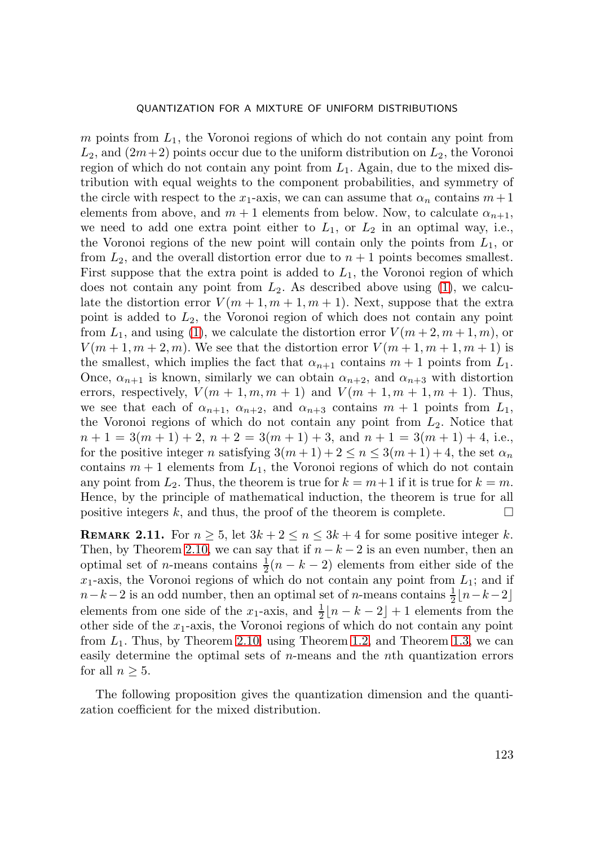m points from  $L_1$ , the Voronoi regions of which do not contain any point from  $L_2$ , and  $(2m+2)$  points occur due to the uniform distribution on  $L_2$ , the Voronoi region of which do not contain any point from  $L_1$ . Again, due to the mixed distribution with equal weights to the component probabilities, and symmetry of the circle with respect to the  $x_1$ -axis, we can can assume that  $\alpha_n$  contains  $m+1$ elements from above, and  $m + 1$  elements from below. Now, to calculate  $\alpha_{n+1}$ , we need to add one extra point either to  $L_1$ , or  $L_2$  in an optimal way, i.e., the Voronoi regions of the new point will contain only the points from  $L_1$ , or from  $L_2$ , and the overall distortion error due to  $n + 1$  points becomes smallest. First suppose that the extra point is added to  $L_1$ , the Voronoi region of which does not contain any point from  $L_2$ . As described above using [\(1\)](#page-18-1), we calculate the distortion error  $V(m+1, m+1, m+1)$ . Next, suppose that the extra point is added to  $L_2$ , the Voronoi region of which does not contain any point from  $L_1$ , and using [\(1\)](#page-18-1), we calculate the distortion error  $V(m+2, m+1, m)$ , or  $V(m+1, m+2, m)$ . We see that the distortion error  $V(m+1, m+1, m+1)$  is the smallest, which implies the fact that  $\alpha_{n+1}$  contains  $m + 1$  points from  $L_1$ . Once,  $\alpha_{n+1}$  is known, similarly we can obtain  $\alpha_{n+2}$ , and  $\alpha_{n+3}$  with distortion errors, respectively,  $V(m+1, m, m+1)$  and  $V(m+1, m+1, m+1)$ . Thus, we see that each of  $\alpha_{n+1}$ ,  $\alpha_{n+2}$ , and  $\alpha_{n+3}$  contains  $m+1$  points from  $L_1$ , the Voronoi regions of which do not contain any point from  $L_2$ . Notice that  $n+1 = 3(m+1)+2, n+2 = 3(m+1)+3, \text{ and } n+1 = 3(m+1)+4, \text{ i.e.,}$ for the positive integer n satisfying  $3(m+1)+2 \le n \le 3(m+1)+4$ , the set  $\alpha_n$ contains  $m + 1$  elements from  $L_1$ , the Voronoi regions of which do not contain any point from  $L_2$ . Thus, the theorem is true for  $k = m+1$  if it is true for  $k = m$ . Hence, by the principle of mathematical induction, the theorem is true for all positive integers k, and thus, the proof of the theorem is complete.  $\Box$ 

<span id="page-19-0"></span>**REMARK 2.11.** For  $n \geq 5$ , let  $3k + 2 \leq n \leq 3k + 4$  for some positive integer k. Then, by Theorem [2.10,](#page-16-0) we can say that if  $n - k - 2$  is an even number, then an optimal set of *n*-means contains  $\frac{1}{2}(n-k-2)$  elements from either side of the  $x_1$ -axis, the Voronoi regions of which do not contain any point from  $L_1$ ; and if  $n-k-2$  is an odd number, then an optimal set of n-means contains  $\frac{1}{2}$ [ $n-k-2$ ] elements from one side of the x<sub>1</sub>-axis, and  $\frac{1}{2}[n-k-2]+1$  elements from the other side of the  $x_1$ -axis, the Voronoi regions of which do not contain any point from  $L_1$ . Thus, by Theorem [2.10,](#page-16-0) using Theorem [1.2,](#page-2-1) and Theorem [1.3,](#page-2-2) we can easily determine the optimal sets of n-means and the nth quantization errors for all  $n \geq 5$ .

The following proposition gives the quantization dimension and the quantization coefficient for the mixed distribution.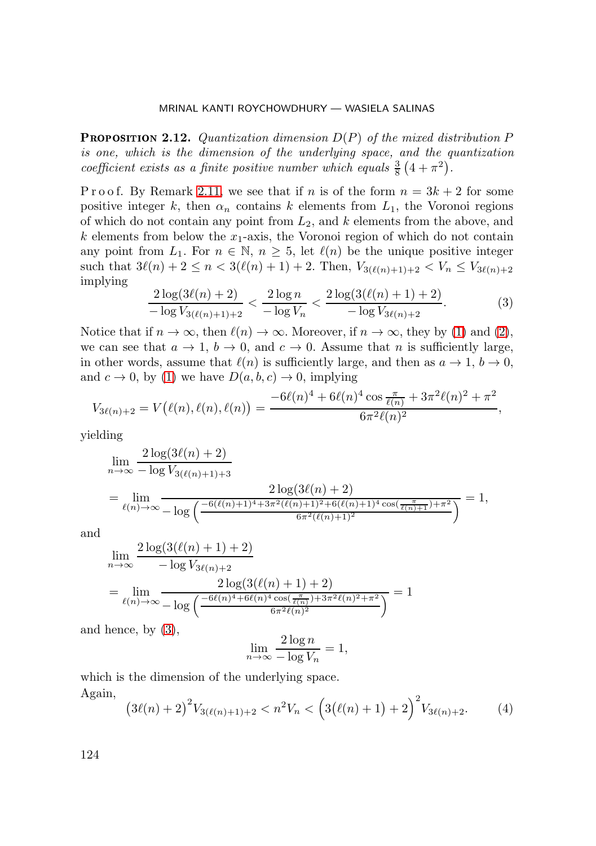<span id="page-20-0"></span>**PROPOSITION 2.12.** Quantization dimension  $D(P)$  of the mixed distribution  $P$ *is one, which is the dimension of the underlying space, and the quantization coefficient exists as a finite positive number which equals*  $\frac{3}{8}(4+\pi^2)$ .

P r o o f. By Remark [2.11,](#page-19-0) we see that if n is of the form  $n = 3k + 2$  for some positive integer k, then  $\alpha_n$  contains k elements from  $L_1$ , the Voronoi regions of which do not contain any point from  $L_2$ , and k elements from the above, and  $k$  elements from below the  $x_1$ -axis, the Voronoi region of which do not contain any point from  $L_1$ . For  $n \in \mathbb{N}$ ,  $n \geq 5$ , let  $\ell(n)$  be the unique positive integer such that  $3\ell(n)+2 \leq n < 3(\ell(n)+1)+2$ . Then,  $V_{3(\ell(n)+1)+2} < V_n \leq V_{3\ell(n)+2}$ implying

<span id="page-20-1"></span>
$$
\frac{2\log(3\ell(n)+2)}{-\log V_{3(\ell(n)+1)+2}} < \frac{2\log n}{-\log V_n} < \frac{2\log(3(\ell(n)+1)+2)}{-\log V_{3(\ell(n)+2)}}.\tag{3}
$$

Notice that if  $n \to \infty$ , then  $\ell(n) \to \infty$ . Moreover, if  $n \to \infty$ , they by [\(1\)](#page-18-1) and [\(2\)](#page-18-0), we can see that  $a \to 1$ ,  $b \to 0$ , and  $c \to 0$ . Assume that n is sufficiently large, in other words, assume that  $\ell(n)$  is sufficiently large, and then as  $a \to 1$ ,  $b \to 0$ , and  $c \to 0$ , by [\(1\)](#page-18-1) we have  $D(a, b, c) \to 0$ , implying

$$
V_{3\ell(n)+2} = V(\ell(n), \ell(n), \ell(n)) = \frac{-6\ell(n)^4 + 6\ell(n)^4 \cos \frac{\pi}{\ell(n)} + 3\pi^2 \ell(n)^2 + \pi^2}{6\pi^2 \ell(n)^2},
$$

yielding

$$
\lim_{n \to \infty} \frac{2 \log(3\ell(n) + 2)}{-\log V_{3(\ell(n)+1)+3}} \frac{2 \log(3\ell(n) + 2)}{-\log \left(\frac{-6(\ell(n)+1)^4 + 3\pi^2(\ell(n)+1)^2 + 6(\ell(n)+1)^4 \cos(\frac{\pi}{\ell(n)+1}) + \pi^2}{6\pi^2(\ell(n)+1)^2}\right)} = 1,
$$

and

$$
\lim_{n \to \infty} \frac{2 \log(3(\ell(n) + 1) + 2)}{-\log V_{3\ell(n)+2}} = \lim_{\ell(n) \to \infty} \frac{2 \log(3(\ell(n) + 1) + 2)}{-\log \left(\frac{-6\ell(n)^4 + 6\ell(n)^4 \cos(\frac{\pi}{\ell(n)}) + 3\pi^2 \ell(n)^2 + \pi^2}{6\pi^2 \ell(n)^2}\right)} = 1
$$

and hence, by [\(3\)](#page-20-1),

$$
\lim_{n \to \infty} \frac{2 \log n}{-\log V_n} = 1,
$$

which is the dimension of the underlying space. Again,

<span id="page-20-2"></span>
$$
(3\ell(n)+2)^2 V_{3(\ell(n)+1)+2} < n^2 V_n < \left(3(\ell(n)+1)+2\right)^2 V_{3\ell(n)+2}.\tag{4}
$$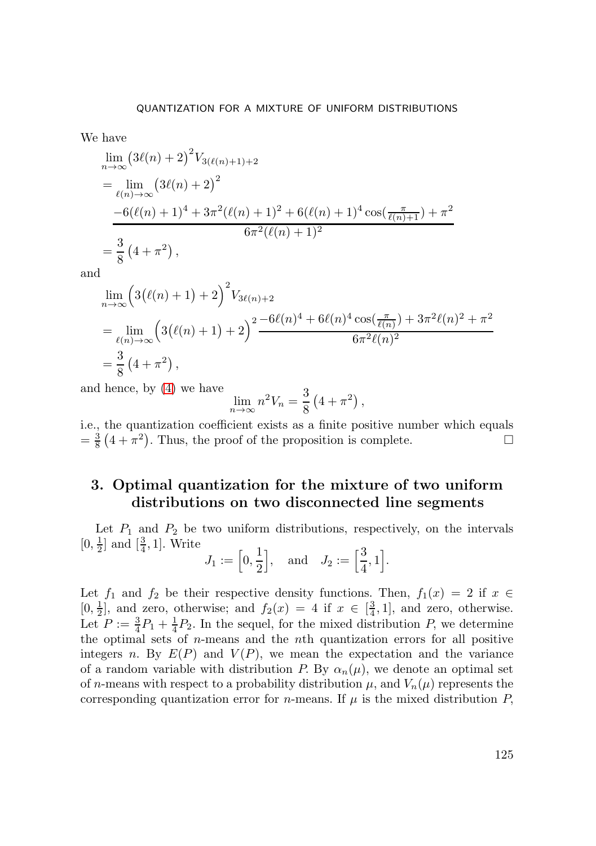We have

$$
\lim_{n \to \infty} (3\ell(n) + 2)^2 V_{3(\ell(n)+1)+2}
$$
\n
$$
= \lim_{\ell(n) \to \infty} (3\ell(n) + 2)^2
$$
\n
$$
\frac{-6(\ell(n)+1)^4 + 3\pi^2(\ell(n)+1)^2 + 6(\ell(n)+1)^4 \cos(\frac{\pi}{\ell(n)+1}) + \pi^2}{6\pi^2(\ell(n)+1)^2}
$$
\n
$$
= \frac{3}{8} (4 + \pi^2),
$$

and

$$
\lim_{n \to \infty} \left( 3(\ell(n) + 1) + 2 \right)^2 V_{3\ell(n)+2}
$$
\n
$$
= \lim_{\ell(n) \to \infty} \left( 3(\ell(n) + 1) + 2 \right)^2 \frac{-6\ell(n)^4 + 6\ell(n)^4 \cos(\frac{\pi}{\ell(n)}) + 3\pi^2 \ell(n)^2 + \pi^2}{6\pi^2 \ell(n)^2}
$$
\n
$$
= \frac{3}{8} (4 + \pi^2),
$$

and hence, by [\(4\)](#page-20-2) we have

$$
\lim_{n \to \infty} n^2 V_n = \frac{3}{8} \left( 4 + \pi^2 \right),
$$

i.e., the quantization coefficient exists as a finite positive number which equals  $=\frac{3}{8}(4+\pi^2)$ . Thus, the proof of the proposition is complete.

## <span id="page-21-0"></span>**3. Optimal quantization for the mixture of two uniform distributions on two disconnected line segments**

Let  $P_1$  and  $P_2$  be two uniform distributions, respectively, on the intervals  $[0, \frac{1}{2}]$  and  $[\frac{3}{4}, 1]$ . Write

$$
J_1 := \left[0, \frac{1}{2}\right], \text{ and } J_2 := \left[\frac{3}{4}, 1\right].
$$

Let  $f_1$  and  $f_2$  be their respective density functions. Then,  $f_1(x) = 2$  if  $x \in$  $[0, \frac{1}{2}]$ , and zero, otherwise; and  $f_2(x) = 4$  if  $x \in [\frac{3}{4}, 1]$ , and zero, otherwise. Let  $P := \frac{3}{4}P_1 + \frac{1}{4}P_2$ . In the sequel, for the mixed distribution P, we determine the optimal sets of  $n$ -means and the  $n$ th quantization errors for all positive integers n. By  $E(P)$  and  $V(P)$ , we mean the expectation and the variance of a random variable with distribution P. By  $\alpha_n(\mu)$ , we denote an optimal set of n-means with respect to a probability distribution  $\mu$ , and  $V_n(\mu)$  represents the corresponding quantization error for *n*-means. If  $\mu$  is the mixed distribution P,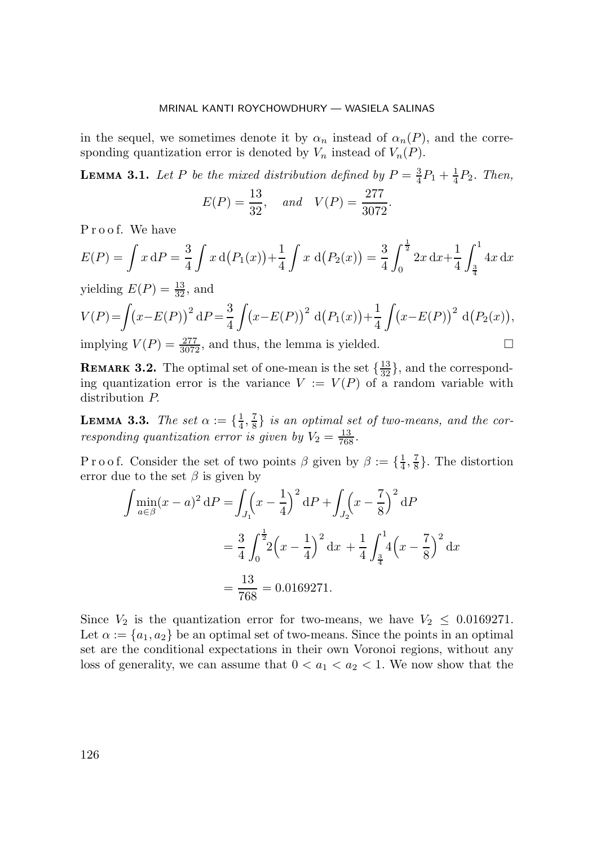in the sequel, we sometimes denote it by  $\alpha_n$  instead of  $\alpha_n(P)$ , and the corresponding quantization error is denoted by  $V_n$  instead of  $V_n(P)$ .

**LEMMA 3.1.** Let P be the mixed distribution defined by  $P = \frac{3}{4}P_1 + \frac{1}{4}P_2$ . Then,

$$
E(P) = \frac{13}{32}
$$
, and  $V(P) = \frac{277}{3072}$ .

P r o o f. We have

$$
E(P) = \int x \, dP = \frac{3}{4} \int x \, d(P_1(x)) + \frac{1}{4} \int x \, d(P_2(x)) = \frac{3}{4} \int_0^{\frac{1}{2}} 2x \, dx + \frac{1}{4} \int_{\frac{3}{4}}^1 4x \, dx
$$

yielding  $E(P) = \frac{13}{32}$ , and

$$
V(P) = \int (x - E(P))^2 dP = \frac{3}{4} \int (x - E(P))^2 d(P_1(x)) + \frac{1}{4} \int (x - E(P))^2 d(P_2(x)),
$$
  
implying  $V(P) = \frac{277}{2072}$ , and thus, the lemma is yielded.

implying  $V(P) = \frac{277}{3072}$ , and thus, the lemma is yielded.

**REMARK 3.2.** The optimal set of one-mean is the set  $\{\frac{13}{32}\}\$ , and the corresponding quantization error is the variance  $V := V(P)$  of a random variable with distribution P.

<span id="page-22-0"></span>**LEMMA 3.3.** *The set*  $\alpha := \{\frac{1}{4}, \frac{7}{8}\}$  *is an optimal set of two-means, and the corresponding quantization error is given by*  $V_2 = \frac{13}{768}$ .

P r o o f. Consider the set of two points  $\beta$  given by  $\beta := \{\frac{1}{4}, \frac{7}{8}\}\.$  The distortion error due to the set  $\beta$  is given by

$$
\int \min_{a \in \beta} (x - a)^2 dP = \int_{J_1} (x - \frac{1}{4})^2 dP + \int_{J_2} (x - \frac{7}{8})^2 dP
$$
  
=  $\frac{3}{4} \int_0^{\frac{1}{2}} 2(x - \frac{1}{4})^2 dx + \frac{1}{4} \int_{\frac{3}{4}}^1 4(x - \frac{7}{8})^2 dx$   
=  $\frac{13}{768} = 0.0169271.$ 

Since  $V_2$  is the quantization error for two-means, we have  $V_2 \leq 0.0169271$ . Let  $\alpha := \{a_1, a_2\}$  be an optimal set of two-means. Since the points in an optimal set are the conditional expectations in their own Voronoi regions, without any loss of generality, we can assume that  $0 < a_1 < a_2 < 1$ . We now show that the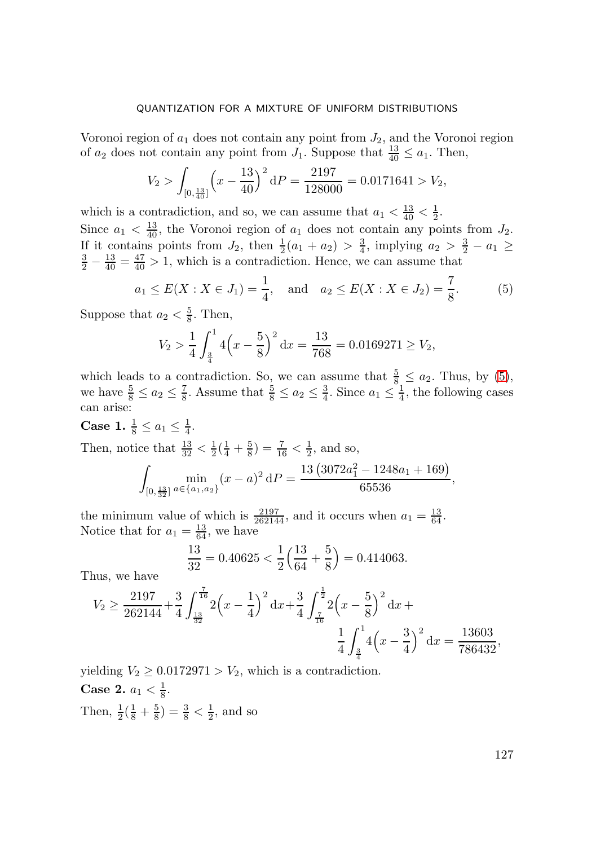Voronoi region of  $a_1$  does not contain any point from  $J_2$ , and the Voronoi region of  $a_2$  does not contain any point from  $J_1$ . Suppose that  $\frac{13}{40} \le a_1$ . Then,

$$
V_2 > \int_{[0,\frac{13}{40}]} \left( x - \frac{13}{40} \right)^2 dP = \frac{2197}{128000} = 0.0171641 > V_2,
$$

which is a contradiction, and so, we can assume that  $a_1 < \frac{13}{40} < \frac{1}{2}$ . Since  $a_1 < \frac{13}{40}$ , the Voronoi region of  $a_1$  does not contain any points from  $J_2$ . If it contains points from  $J_2$ , then  $\frac{1}{2}(a_1 + a_2) > \frac{3}{4}$ , implying  $a_2 > \frac{3}{2} - a_1 \ge$  $\frac{3}{2} - \frac{13}{40} = \frac{47}{40} > 1$ , which is a contradiction. Hence, we can assume that

<span id="page-23-0"></span>
$$
a_1 \le E(X : X \in J_1) = \frac{1}{4}
$$
, and  $a_2 \le E(X : X \in J_2) = \frac{7}{8}$ . (5)

Suppose that  $a_2 < \frac{5}{8}$ . Then,

$$
V_2 > \frac{1}{4} \int_{\frac{3}{4}}^1 4\left(x - \frac{5}{8}\right)^2 dx = \frac{13}{768} = 0.0169271 \ge V_2,
$$

which leads to a contradiction. So, we can assume that  $\frac{5}{8} \le a_2$ . Thus, by [\(5\)](#page-23-0), we have  $\frac{5}{8} \le a_2 \le \frac{7}{8}$ . Assume that  $\frac{5}{8} \le a_2 \le \frac{3}{4}$ . Since  $a_1 \le \frac{1}{4}$ , the following cases can arise:

## **Case 1.**  $\frac{1}{8} \le a_1 \le \frac{1}{4}$ .

Then, notice that  $\frac{13}{32} < \frac{1}{2}(\frac{1}{4} + \frac{5}{8}) = \frac{7}{16} < \frac{1}{2}$ , and so,

$$
\int_{[0,\frac{13}{32}]}\min_{a\in\{a_1,a_2\}}(x-a)^2 dP = \frac{13\left(3072a_1^2 - 1248a_1 + 169\right)}{65536},
$$

the minimum value of which is  $\frac{2197}{262144}$ , and it occurs when  $a_1 = \frac{13}{64}$ . Notice that for  $a_1 = \frac{13}{64}$ , we have

$$
\frac{13}{32} = 0.40625 < \frac{1}{2} \left( \frac{13}{64} + \frac{5}{8} \right) = 0.414063.
$$

Thus, we have

$$
V_2 \ge \frac{2197}{262144} + \frac{3}{4} \int_{\frac{13}{32}}^{\frac{7}{16}} 2\left(x - \frac{1}{4}\right)^2 dx + \frac{3}{4} \int_{\frac{7}{16}}^{\frac{1}{2}} 2\left(x - \frac{5}{8}\right)^2 dx + \frac{1}{4} \int_{\frac{3}{4}}^4 4\left(x - \frac{3}{4}\right)^2 dx = \frac{13603}{786432},
$$

yielding  $V_2 \geq 0.0172971 > V_2$ , which is a contradiction.

**Case 2.**  $a_1 < \frac{1}{8}$ . Then,  $\frac{1}{2}(\frac{1}{8} + \frac{5}{8}) = \frac{3}{8} < \frac{1}{2}$ , and so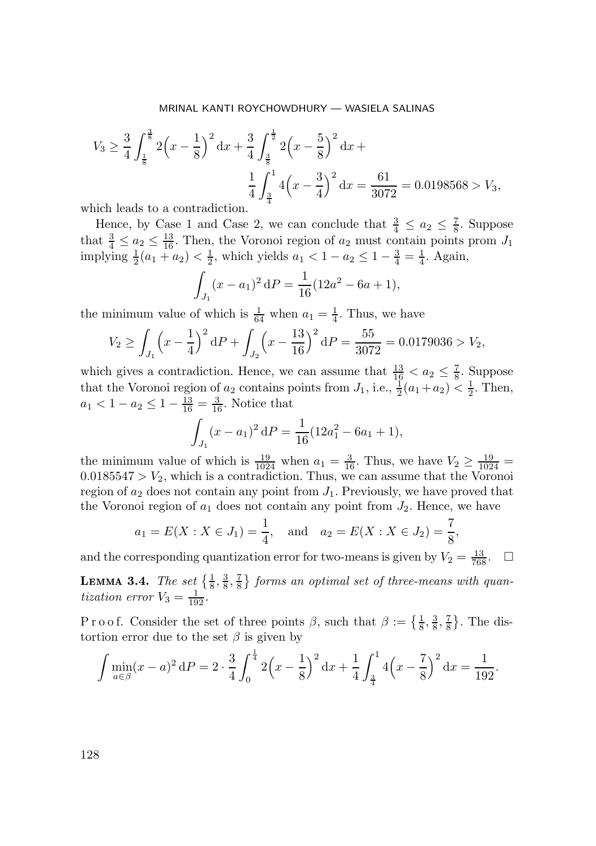$$
V_3 \ge \frac{3}{4} \int_{\frac{1}{8}}^{\frac{3}{8}} 2\left(x - \frac{1}{8}\right)^2 dx + \frac{3}{4} \int_{\frac{3}{8}}^{\frac{1}{2}} 2\left(x - \frac{5}{8}\right)^2 dx +
$$
  

$$
\frac{1}{4} \int_{\frac{3}{4}}^1 4\left(x - \frac{3}{4}\right)^2 dx = \frac{61}{3072} = 0.0198568 > V_3,
$$

which leads to a contradiction.

Hence, by Case 1 and Case 2, we can conclude that  $\frac{3}{4} \le a_2 \le \frac{7}{8}$ . Suppose that  $\frac{3}{4} \le a_2 \le \frac{13}{16}$ . Then, the Voronoi region of  $a_2$  must contain points prom  $J_1$ implying  $\frac{1}{2}(a_1 + a_2) < \frac{1}{2}$ , which yields  $a_1 < 1 - a_2 \leq 1 - \frac{3}{4} = \frac{1}{4}$ . Again,

$$
\int_{J_1} (x - a_1)^2 dP = \frac{1}{16} (12a^2 - 6a + 1),
$$

the minimum value of which is  $\frac{1}{64}$  when  $a_1 = \frac{1}{4}$ . Thus, we have

$$
V_2 \ge \int_{J_1} \left(x - \frac{1}{4}\right)^2 dP + \int_{J_2} \left(x - \frac{13}{16}\right)^2 dP = \frac{55}{3072} = 0.0179036 > V_2,
$$

which gives a contradiction. Hence, we can assume that  $\frac{13}{16} < a_2 \leq \frac{7}{8}$ . Suppose that the Voronoi region of  $a_2$  contains points from  $J_1$ , i.e.,  $\frac{1}{2}(a_1 + a_2) \leq \frac{1}{2}$ . Then,  $a_1 < 1 - a_2 \leq 1 - \frac{\overline{13}}{16} = \frac{3}{16}$ . Notice that

$$
\int_{J_1} (x - a_1)^2 dP = \frac{1}{16} (12a_1^2 - 6a_1 + 1),
$$

the minimum value of which is  $\frac{19}{1024}$  when  $a_1 = \frac{3}{16}$ . Thus, we have  $V_2 \ge \frac{19}{1024}$  $0.0185547 > V_2$ , which is a contradiction. Thus, we can assume that the Voronoi region of  $a_2$  does not contain any point from  $J_1$ . Previously, we have proved that the Voronoi region of  $a_1$  does not contain any point from  $J_2$ . Hence, we have

$$
a_1 = E(X : X \in J_1) = \frac{1}{4}
$$
, and  $a_2 = E(X : X \in J_2) = \frac{7}{8}$ ,

and the corresponding quantization error for two-means is given by  $V_2 = \frac{13}{768}$ .  $\Box$ 

<span id="page-24-0"></span>**LEMMA 3.4.** The set  $\{\frac{1}{8}, \frac{3}{8}, \frac{7}{8}\}$  forms an optimal set of three-means with quan*tization error*  $V_3 = \frac{1}{192}$ .

P r o o f. Consider the set of three points  $\beta$ , such that  $\beta := \{\frac{1}{8}, \frac{3}{8}, \frac{7}{8}\}\.$  The distortion error due to the set  $\beta$  is given by

$$
\int \min_{a \in \beta} (x - a)^2 dP = 2 \cdot \frac{3}{4} \int_0^{\frac{1}{4}} 2\left(x - \frac{1}{8}\right)^2 dx + \frac{1}{4} \int_{\frac{3}{4}}^1 4\left(x - \frac{7}{8}\right)^2 dx = \frac{1}{192}.
$$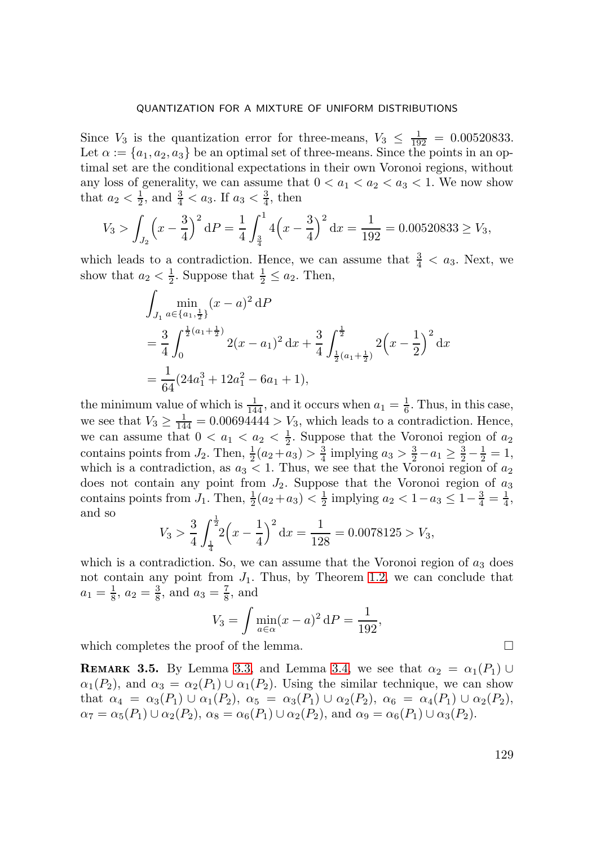Since  $V_3$  is the quantization error for three-means,  $V_3 \n\leq \frac{1}{192} = 0.00520833$ . Let  $\alpha := \{a_1, a_2, a_3\}$  be an optimal set of three-means. Since the points in an optimal set are the conditional expectations in their own Voronoi regions, without any loss of generality, we can assume that  $0 < a_1 < a_2 < a_3 < 1$ . We now show that  $a_2 < \frac{1}{2}$ , and  $\frac{3}{4} < a_3$ . If  $a_3 < \frac{3}{4}$ , then

$$
V_3 > \int_{J_2} \left(x - \frac{3}{4}\right)^2 dP = \frac{1}{4} \int_{\frac{3}{4}}^1 4\left(x - \frac{3}{4}\right)^2 dx = \frac{1}{192} = 0.00520833 \geq V_3,
$$

which leads to a contradiction. Hence, we can assume that  $\frac{3}{4} < a_3$ . Next, we show that  $a_2 < \frac{1}{2}$ . Suppose that  $\frac{1}{2} \le a_2$ . Then,

$$
\int_{J_1} \min_{a \in \{a_1, \frac{1}{2}\}} (x - a)^2 dP
$$
\n
$$
= \frac{3}{4} \int_0^{\frac{1}{2}(a_1 + \frac{1}{2})} 2(x - a_1)^2 dx + \frac{3}{4} \int_{\frac{1}{2}(a_1 + \frac{1}{2})}^{\frac{1}{2}} 2(x - \frac{1}{2})^2 dx
$$
\n
$$
= \frac{1}{64} (24a_1^3 + 12a_1^2 - 6a_1 + 1),
$$

the minimum value of which is  $\frac{1}{144}$ , and it occurs when  $a_1 = \frac{1}{6}$ . Thus, in this case, we see that  $V_3 \ge \frac{1}{144} = 0.00694444 > V_3$ , which leads to a contradiction. Hence, we can assume that  $0 < a_1 < a_2 < \frac{1}{2}$ . Suppose that the Voronoi region of  $a_2$ contains points from  $J_2$ . Then,  $\frac{1}{2}(a_2+a_3) > \frac{3}{4}$  implying  $a_3 > \frac{3}{2}-a_1 \geq \frac{3}{2}-\frac{1}{2}=1$ , which is a contradiction, as  $a_3 < 1$ . Thus, we see that the Voronoi region of  $a_2$ does not contain any point from  $J_2$ . Suppose that the Voronoi region of  $a_3$ contains points from  $J_1$ . Then,  $\frac{1}{2}(a_2+a_3) < \frac{1}{2}$  implying  $a_2 < 1-a_3 \leq 1-\frac{3}{4}=\frac{1}{4}$ , and so

$$
V_3 > \frac{3}{4} \int_{\frac{1}{4}}^{\frac{1}{2}} 2\left(x - \frac{1}{4}\right)^2 dx = \frac{1}{128} = 0.0078125 > V_3,
$$

which is a contradiction. So, we can assume that the Voronoi region of  $a_3$  does not contain any point from  $J_1$ . Thus, by Theorem [1.2,](#page-2-1) we can conclude that  $a_1 = \frac{1}{8}$ ,  $a_2 = \frac{3}{8}$ , and  $a_3 = \frac{7}{8}$ , and

$$
V_3 = \int \min_{a \in \alpha} (x - a)^2 dP = \frac{1}{192},
$$

which completes the proof of the lemma.  $\Box$ 

<span id="page-25-0"></span>**REMARK 3.5.** By Lemma [3.3,](#page-22-0) and Lemma [3.4,](#page-24-0) we see that  $\alpha_2 = \alpha_1(P_1) \cup$  $\alpha_1(P_2)$ , and  $\alpha_3 = \alpha_2(P_1) \cup \alpha_1(P_2)$ . Using the similar technique, we can show that  $\alpha_4 = \alpha_3(P_1) \cup \alpha_1(P_2)$ ,  $\alpha_5 = \alpha_3(P_1) \cup \alpha_2(P_2)$ ,  $\alpha_6 = \alpha_4(P_1) \cup \alpha_2(P_2)$ ,  $\alpha_7 = \alpha_5(P_1) \cup \alpha_2(P_2), \ \alpha_8 = \alpha_6(P_1) \cup \alpha_2(P_2), \text{ and } \alpha_9 = \alpha_6(P_1) \cup \alpha_3(P_2).$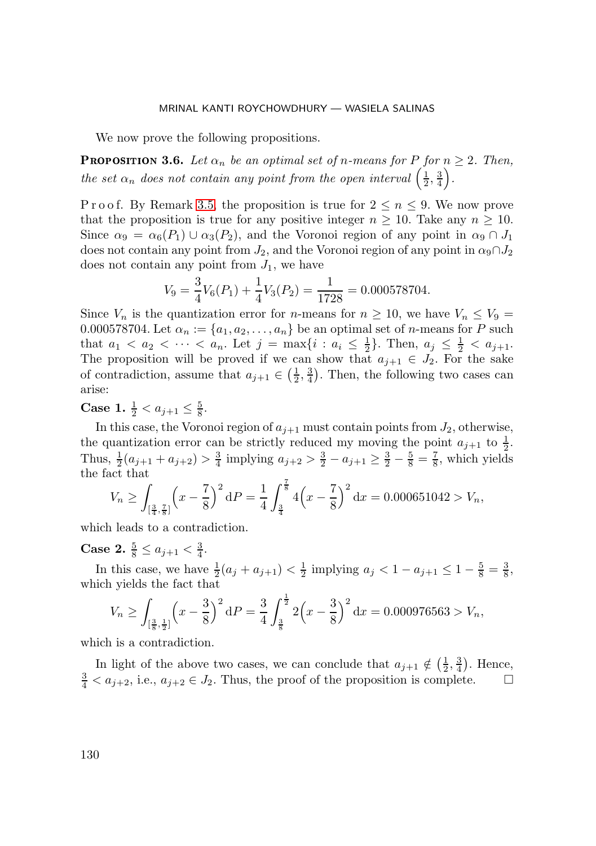We now prove the following propositions.

<span id="page-26-0"></span>**PROPOSITION 3.6.** Let  $\alpha_n$  be an optimal set of n-means for P for  $n \geq 2$ . Then, *the set*  $\alpha_n$  *does not contain any point from the open interval*  $\left(\frac{1}{2}, \frac{3}{4}\right)$ *.* 

P r o o f. By Remark [3.5,](#page-25-0) the proposition is true for  $2 \leq n \leq 9$ . We now prove that the proposition is true for any positive integer  $n \geq 10$ . Take any  $n \geq 10$ . Since  $\alpha_9 = \alpha_6(P_1) \cup \alpha_3(P_2)$ , and the Voronoi region of any point in  $\alpha_9 \cap J_1$ does not contain any point from  $J_2$ , and the Voronoi region of any point in  $\alpha_9 \cap J_2$ does not contain any point from  $J_1$ , we have

$$
V_9 = \frac{3}{4}V_6(P_1) + \frac{1}{4}V_3(P_2) = \frac{1}{1728} = 0.000578704.
$$

Since  $V_n$  is the quantization error for *n*-means for  $n \ge 10$ , we have  $V_n \le V_9 =$ 0.000578704. Let  $\alpha_n := \{a_1, a_2, \ldots, a_n\}$  be an optimal set of *n*-means for *P* such that  $a_1 < a_2 < \cdots < a_n$ . Let  $j = \max\{i : a_i \leq \frac{1}{2}\}\)$ . Then,  $a_j \leq \frac{1}{2} < a_{j+1}$ . The proposition will be proved if we can show that  $a_{j+1} \in J_2$ . For the sake of contradiction, assume that  $a_{j+1} \in (\frac{1}{2}, \frac{3}{4})$ . Then, the following two cases can arise:

**Case 1.**  $\frac{1}{2} < a_{j+1} \leq \frac{5}{8}$ .

In this case, the Voronoi region of  $a_{j+1}$  must contain points from  $J_2$ , otherwise, the quantization error can be strictly reduced my moving the point  $a_{j+1}$  to  $\frac{1}{2}$ . Thus,  $\frac{1}{2}(a_{j+1} + a_{j+2}) > \frac{3}{4}$  implying  $a_{j+2} > \frac{3}{2} - a_{j+1} \ge \frac{3}{2} - \frac{5}{8} = \frac{7}{8}$ , which yields the fact that

$$
V_n \ge \int_{\left[\frac{3}{4},\frac{7}{8}\right]} \left(x - \frac{7}{8}\right)^2 dP = \frac{1}{4} \int_{\frac{3}{4}}^{\frac{7}{8}} 4\left(x - \frac{7}{8}\right)^2 dx = 0.000651042 > V_n,
$$

which leads to a contradiction.

**Case 2.**  $\frac{5}{8} \leq a_{j+1} < \frac{3}{4}$ .

In this case, we have  $\frac{1}{2}(a_j + a_{j+1}) < \frac{1}{2}$  implying  $a_j < 1 - a_{j+1} \leq 1 - \frac{5}{8} = \frac{3}{8}$ , which yields the fact that

$$
V_n \ge \int_{\left[\frac{3}{8},\frac{1}{2}\right]} \left(x - \frac{3}{8}\right)^2 dP = \frac{3}{4} \int_{\frac{3}{8}}^{\frac{1}{2}} 2\left(x - \frac{3}{8}\right)^2 dx = 0.000976563 > V_n,
$$

which is a contradiction.

In light of the above two cases, we can conclude that  $a_{j+1} \notin (\frac{1}{2}, \frac{3}{4})$ . Hence,  $\frac{3}{4} < a_{j+2}$ , i.e.,  $a_{j+2} \in J_2$ . Thus, the proof of the proposition is complete.  $\Box$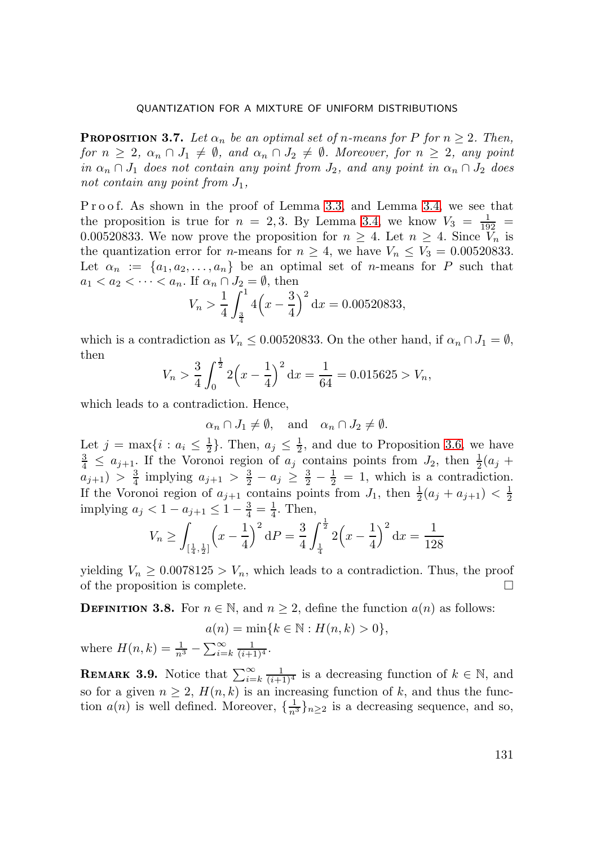<span id="page-27-1"></span>**PROPOSITION 3.7.** Let  $\alpha_n$  be an optimal set of n-means for P for  $n \geq 2$ . Then, *for*  $n \geq 2$ ,  $\alpha_n \cap J_1 \neq \emptyset$ , and  $\alpha_n \cap J_2 \neq \emptyset$ . Moreover, for  $n \geq 2$ , any point *in*  $\alpha_n \cap J_1$  *does not contain any point from*  $J_2$ *, and any point in*  $\alpha_n \cap J_2$  *does* not contain any point from  $J_1$ ,

P r o o f. As shown in the proof of Lemma [3.3,](#page-22-0) and Lemma [3.4,](#page-24-0) we see that the proposition is true for  $n = 2,3$ . By Lemma [3.4,](#page-24-0) we know  $V_3 = \frac{1}{192}$ 0.00520833. We now prove the proposition for  $n \geq 4$ . Let  $n \geq 4$ . Since  $V_n$  is the quantization error for *n*-means for  $n \geq 4$ , we have  $V_n \leq V_3 = 0.00520833$ . Let  $\alpha_n := \{a_1, a_2, \ldots, a_n\}$  be an optimal set of *n*-means for P such that  $a_1 < a_2 < \cdots < a_n$ . If  $\alpha_n \cap J_2 = \emptyset$ , then

$$
V_n > \frac{1}{4} \int_{\frac{3}{4}}^{\frac{1}{4}} 4\left(x - \frac{3}{4}\right)^2 dx = 0.00520833,
$$

which is a contradiction as  $V_n \leq 0.00520833$ . On the other hand, if  $\alpha_n \cap J_1 = \emptyset$ , then

$$
V_n > \frac{3}{4} \int_0^{\frac{1}{2}} 2\left(x - \frac{1}{4}\right)^2 dx = \frac{1}{64} = 0.015625 > V_n,
$$

which leads to a contradiction. Hence,

$$
\alpha_n \cap J_1 \neq \emptyset
$$
, and  $\alpha_n \cap J_2 \neq \emptyset$ .

Let  $j = \max\{i : a_i \leq \frac{1}{2}\}$ . Then,  $a_j \leq \frac{1}{2}$ , and due to Proposition [3.6,](#page-26-0) we have  $\frac{3}{4} \leq a_{j+1}$ . If the Voronoi region of  $a_j$  contains points from  $J_2$ , then  $\frac{1}{2}(a_j +$  $a_{j+1}$ ) >  $\frac{3}{4}$  implying  $a_{j+1} > \frac{3}{2} - a_j \ge \frac{3}{2} - \frac{1}{2} = 1$ , which is a contradiction. If the Voronoi region of  $a_{j+1}$  contains points from  $J_1$ , then  $\frac{1}{2}(a_j + a_{j+1}) < \frac{1}{2}$ implying  $a_j < 1 - a_{j+1} \leq 1 - \frac{3}{4} = \frac{1}{4}$ . Then,

$$
V_n \ge \int_{\left[\frac{1}{4},\frac{1}{2}\right]} \left(x - \frac{1}{4}\right)^2 dP = \frac{3}{4} \int_{\frac{1}{4}}^{\frac{1}{2}} 2\left(x - \frac{1}{4}\right)^2 dx = \frac{1}{128}
$$

yielding  $V_n \geq 0.0078125 > V_n$ , which leads to a contradiction. Thus, the proof of the proposition is complete. - $\Box$ 

<span id="page-27-0"></span>**DEFINITION 3.8.** For  $n \in \mathbb{N}$ , and  $n \geq 2$ , define the function  $a(n)$  as follows:

$$
a(n) = \min\{k \in \mathbb{N} : H(n,k) > 0\},\
$$

where  $H(n,k) = \frac{1}{n^3} - \sum_{i=k}^{\infty} \frac{1}{(i+1)^4}$ .

**REMARK 3.9.** Notice that  $\sum_{i=k}^{\infty} \frac{1}{(i+1)^4}$  is a decreasing function of  $k \in \mathbb{N}$ , and so for a given  $n \geq 2$ ,  $H(n, k)$  is an increasing function of k, and thus the function  $a(n)$  is well defined. Moreover,  $\{\frac{1}{n^3}\}_n \geq 0$  is a decreasing sequence, and so,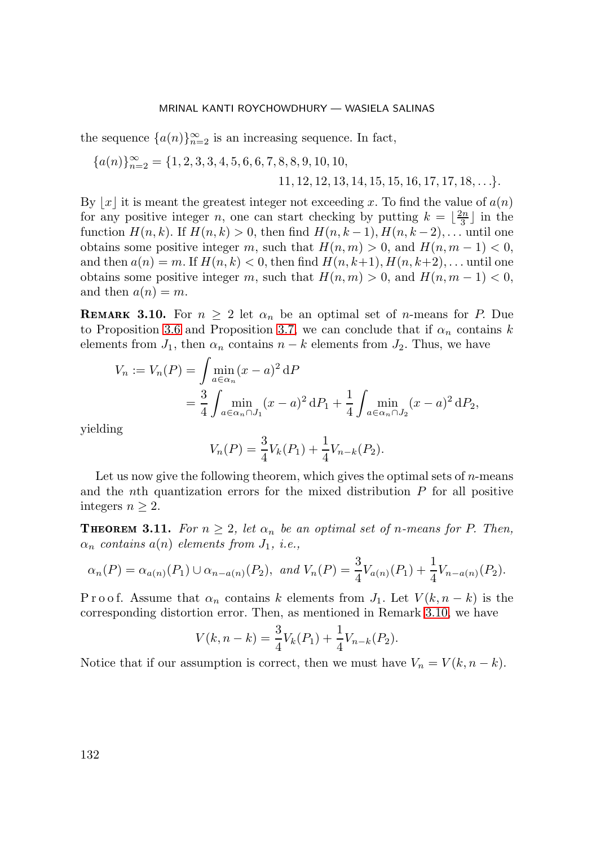the sequence  $\{a(n)\}_{n=2}^{\infty}$  is an increasing sequence. In fact,

$$
{a(n)}_{n=2}^{\infty} = {1, 2, 3, 3, 4, 5, 6, 6, 7, 8, 8, 9, 10, 10, 11, 12, 12, 13, 14, 15, 15, 16, 17, 17, 18, ...}.
$$

By |x| it is meant the greatest integer not exceeding x. To find the value of  $a(n)$ for any positive integer n, one can start checking by putting  $k = \lfloor \frac{2n}{3} \rfloor$  in the function  $H(n, k)$ . If  $H(n, k) > 0$ , then find  $H(n, k - 1)$ ,  $H(n, k - 2)$ ,... until one obtains some positive integer m, such that  $H(n, m) > 0$ , and  $H(n, m - 1) < 0$ , and then  $a(n) = m$ . If  $H(n, k) < 0$ , then find  $H(n, k+1)$ ,  $H(n, k+2)$ ,... until one obtains some positive integer m, such that  $H(n, m) > 0$ , and  $H(n, m - 1) < 0$ , and then  $a(n) = m$ .

<span id="page-28-0"></span>**REMARK 3.10.** For  $n \geq 2$  let  $\alpha_n$  be an optimal set of *n*-means for *P*. Due to Proposition [3.6](#page-26-0) and Proposition [3.7,](#page-27-1) we can conclude that if  $\alpha_n$  contains k elements from  $J_1$ , then  $\alpha_n$  contains  $n - k$  elements from  $J_2$ . Thus, we have

$$
V_n := V_n(P) = \int \min_{a \in \alpha_n} (x - a)^2 dP
$$
  
=  $\frac{3}{4} \int \min_{a \in \alpha_n \cap J_1} (x - a)^2 dP_1 + \frac{1}{4} \int \min_{a \in \alpha_n \cap J_2} (x - a)^2 dP_2$ ,

yielding

$$
V_n(P) = \frac{3}{4} V_k(P_1) + \frac{1}{4} V_{n-k}(P_2).
$$

Let us now give the following theorem, which gives the optimal sets of  $n$ -means and the *n*th quantization errors for the mixed distribution  $P$  for all positive integers  $n \geq 2$ .

**THEOREM 3.11.** For  $n \geq 2$ , let  $\alpha_n$  be an optimal set of n-means for P. Then,  $\alpha_n$  *contains*  $a(n)$  *elements from*  $J_1$ *, i.e.*,

$$
\alpha_n(P) = \alpha_{a(n)}(P_1) \cup \alpha_{n-a(n)}(P_2)
$$
, and  $V_n(P) = \frac{3}{4}V_{a(n)}(P_1) + \frac{1}{4}V_{n-a(n)}(P_2)$ .

P r o o f. Assume that  $\alpha_n$  contains k elements from  $J_1$ . Let  $V(k, n-k)$  is the corresponding distortion error. Then, as mentioned in Remark [3.10,](#page-28-0) we have

$$
V(k, n-k) = \frac{3}{4}V_k(P_1) + \frac{1}{4}V_{n-k}(P_2).
$$

Notice that if our assumption is correct, then we must have  $V_n = V(k, n - k)$ .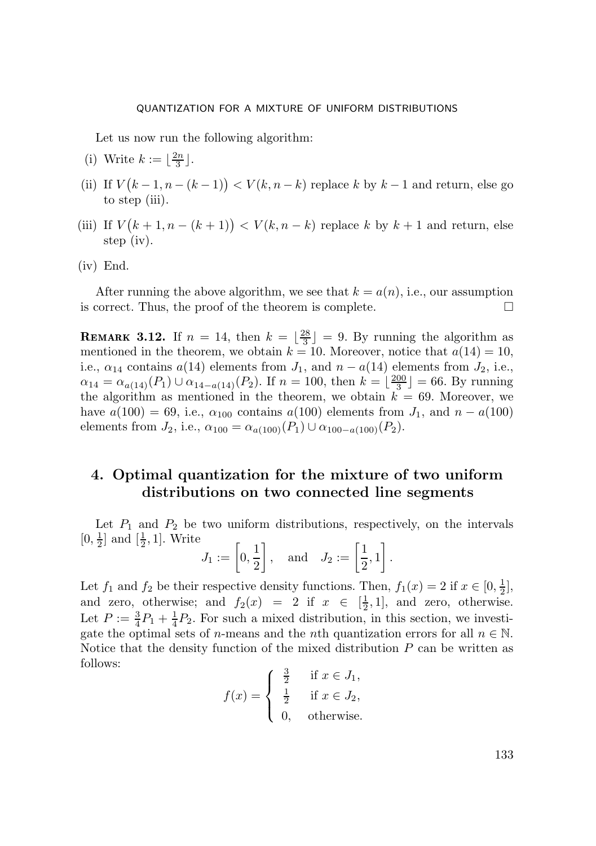Let us now run the following algorithm:

- (i) Write  $k := \lfloor \frac{2n}{3} \rfloor$ .
- (ii) If  $V(k-1, n-(k-1)) < V(k, n-k)$  replace k by  $k-1$  and return, else go to step (iii).
- (iii) If  $V(k+1, n-(k+1)) < V(k, n-k)$  replace k by  $k+1$  and return, else step (iv).
- (iv) End.

After running the above algorithm, we see that  $k = a(n)$ , i.e., our assumption is correct. Thus, the proof of the theorem is complete.  $\Box$ 

**REMARK 3.12.** If  $n = 14$ , then  $k = \lfloor \frac{28}{3} \rfloor = 9$ . By running the algorithm as mentioned in the theorem, we obtain  $k = 10$ . Moreover, notice that  $a(14) = 10$ , i.e.,  $\alpha_{14}$  contains  $a(14)$  elements from  $J_1$ , and  $n - a(14)$  elements from  $J_2$ , i.e.,  $\alpha_{14} = \alpha_{a(14)}(P_1) \cup \alpha_{14-a(14)}(P_2)$ . If  $n = 100$ , then  $k = \lfloor \frac{200}{3} \rfloor = 66$ . By running the algorithm as mentioned in the theorem, we obtain  $k = 69$ . Moreover, we have  $a(100) = 69$ , i.e.,  $\alpha_{100}$  contains  $a(100)$  elements from  $J_1$ , and  $n - a(100)$ elements from  $J_2$ , i.e.,  $\alpha_{100} = \alpha_{a(100)}(P_1) \cup \alpha_{100-a(100)}(P_2)$ .

## <span id="page-29-0"></span>**4. Optimal quantization for the mixture of two uniform distributions on two connected line segments**

Let  $P_1$  and  $P_2$  be two uniform distributions, respectively, on the intervals  $[0, \frac{1}{2}]$  and  $[\frac{1}{2}, 1]$ . Write

$$
J_1 := \left[0, \frac{1}{2}\right], \text{ and } J_2 := \left[\frac{1}{2}, 1\right].
$$

Let  $f_1$  and  $f_2$  be their respective density functions. Then,  $f_1(x) = 2$  if  $x \in [0, \frac{1}{2}]$ , and zero, otherwise; and  $f_2(x) = 2$  if  $x \in [\frac{1}{2}, 1]$ , and zero, otherwise. Let  $P := \frac{3}{4}P_1 + \frac{1}{4}P_2$ . For such a mixed distribution, in this section, we investigate the optimal sets of *n*-means and the *n*th quantization errors for all  $n \in \mathbb{N}$ . Notice that the density function of the mixed distribution  $P$  can be written as follows:  $\overline{2}$ 

$$
f(x) = \begin{cases} \frac{3}{2} & \text{if } x \in J_1, \\ \frac{1}{2} & \text{if } x \in J_2, \\ 0, & \text{otherwise.} \end{cases}
$$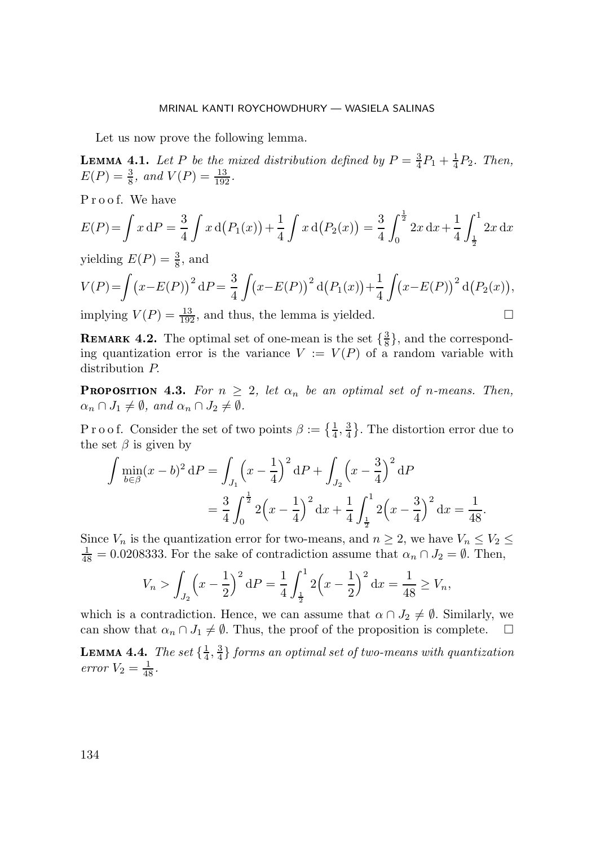Let us now prove the following lemma.

**LEMMA 4.1.** Let P be the mixed distribution defined by  $P = \frac{3}{4}P_1 + \frac{1}{4}P_2$ . Then,  $E(P) = \frac{3}{8}$ *, and*  $V(P) = \frac{13}{192}$ *.* 

Proof. We have

$$
E(P) = \int x \, dP = \frac{3}{4} \int x \, d(P_1(x)) + \frac{1}{4} \int x \, d(P_2(x)) = \frac{3}{4} \int_0^{\frac{1}{2}} 2x \, dx + \frac{1}{4} \int_{\frac{1}{2}}^1 2x \, dx
$$

yielding  $E(P) = \frac{3}{8}$ , and

$$
V(P) = \int (x - E(P))^2 dP = \frac{3}{4} \int (x - E(P))^2 d(P_1(x)) + \frac{1}{4} \int (x - E(P))^2 d(P_2(x)),
$$
  
implying  $V(P) = \frac{13}{120}$ , and thus, the lemma is yielded.

implying  $V(P) = \frac{13}{192}$ , and thus, the lemma is yielded.  $\square$ 

**REMARK 4.2.** The optimal set of one-mean is the set  $\{\frac{3}{8}\}\$ , and the corresponding quantization error is the variance  $V := V(P)$  of a random variable with distribution P.

<span id="page-30-0"></span>**PROPOSITION 4.3.** For  $n \geq 2$ , let  $\alpha_n$  be an optimal set of n-means. Then,  $\alpha_n \cap J_1 \neq \emptyset$ , and  $\alpha_n \cap J_2 \neq \emptyset$ .

P r o o f. Consider the set of two points  $\beta := \{\frac{1}{4}, \frac{3}{4}\}.$  The distortion error due to the set  $\beta$  is given by

$$
\int \min_{b \in \beta} (x - b)^2 dP = \int_{J_1} \left( x - \frac{1}{4} \right)^2 dP + \int_{J_2} \left( x - \frac{3}{4} \right)^2 dP
$$
  
=  $\frac{3}{4} \int_0^{\frac{1}{2}} 2 \left( x - \frac{1}{4} \right)^2 dx + \frac{1}{4} \int_{\frac{1}{2}}^1 2 \left( x - \frac{3}{4} \right)^2 dx = \frac{1}{48}.$ 

Since  $V_n$  is the quantization error for two-means, and  $n \geq 2$ , we have  $V_n \leq V_2 \leq$  $\frac{1}{48} = 0.0208333$ . For the sake of contradiction assume that  $\alpha_n \cap J_2 = \emptyset$ . Then,

$$
V_n > \int_{J_2} \left(x - \frac{1}{2}\right)^2 dP = \frac{1}{4} \int_{\frac{1}{2}}^1 2\left(x - \frac{1}{2}\right)^2 dx = \frac{1}{48} \ge V_n,
$$

which is a contradiction. Hence, we can assume that  $\alpha \cap J_2 \neq \emptyset$ . Similarly, we can show that  $\alpha_n \cap J_1 \neq \emptyset$ . Thus, the proof of the proposition is complete.  $\Box$ 

<span id="page-30-1"></span>**LEMMA 4.4.** *The set*  $\{\frac{1}{4}, \frac{3}{4}\}$  *forms an optimal set of two-means with quantization error*  $V_2 = \frac{1}{48}$ .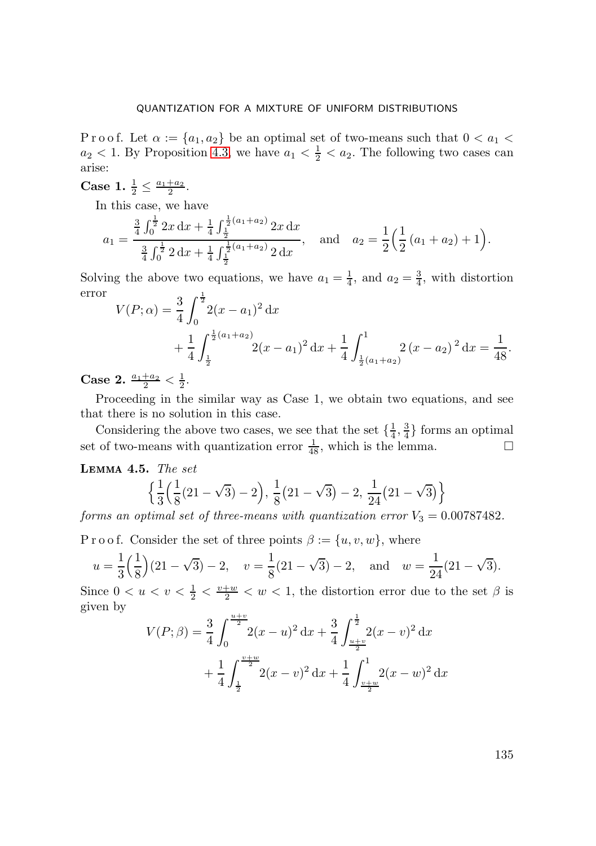P r o o f. Let  $\alpha := \{a_1, a_2\}$  be an optimal set of two-means such that  $0 < a_1 <$  $a_2 < 1$ . By Proposition [4.3,](#page-30-0) we have  $a_1 < \frac{1}{2} < a_2$ . The following two cases can arise:

**Case 1.**  $\frac{1}{2} \leq \frac{a_1 + a_2}{2}$ .

In this case, we have

$$
a_1 = \frac{\frac{3}{4} \int_0^{\frac{1}{2}} 2x \, dx + \frac{1}{4} \int_{\frac{1}{2}}^{\frac{1}{2}(a_1 + a_2)} 2x \, dx}{\frac{3}{4} \int_0^{\frac{1}{2}} 2 \, dx + \frac{1}{4} \int_{\frac{1}{2}}^{\frac{1}{2}(a_1 + a_2)} 2 \, dx}, \quad \text{and} \quad a_2 = \frac{1}{2} \left( \frac{1}{2} \left( a_1 + a_2 \right) + 1 \right).
$$

Solving the above two equations, we have  $a_1 = \frac{1}{4}$ , and  $a_2 = \frac{3}{4}$ , with distortion error  $\Omega$   $\theta$ <sup>1</sup>

$$
V(P; \alpha) = \frac{3}{4} \int_0^{\frac{\pi}{2}} 2(x - a_1)^2 dx
$$
  
+  $\frac{1}{4} \int_{\frac{1}{2}}^{\frac{1}{2}(a_1 + a_2)} 2(x - a_1)^2 dx + \frac{1}{4} \int_{\frac{1}{2}(a_1 + a_2)}^1 2(x - a_2)^2 dx = \frac{1}{48}.$ 

**Case 2.**  $\frac{a_1+a_2}{2} < \frac{1}{2}$ .

Proceeding in the similar way as Case 1, we obtain two equations, and see that there is no solution in this case.

Considering the above two cases, we see that the set  $\{\frac{1}{4}, \frac{3}{4}\}$  forms an optimal set of two-means with quantization error  $\frac{1}{48}$ , which is the lemma.

<span id="page-31-0"></span> **4.5** *The set*

$$
\Bigl\{ \frac{1}{3} \Bigl(\frac{1}{8} (21-\sqrt{3})-2\Bigr),\, \frac{1}{8} \bigl(21-\sqrt{3}\bigr)-2,\, \frac{1}{24} \bigl(21-\sqrt{3}\bigr) \Bigr\}
$$

*forms an optimal set of three-means with quantization error*  $V_3 = 0.00787482$ .

P r o o f. Consider the set of three points  $\beta := \{u, v, w\}$ , where

$$
u = \frac{1}{3} \left( \frac{1}{8} \right) (21 - \sqrt{3}) - 2
$$
,  $v = \frac{1}{8} (21 - \sqrt{3}) - 2$ , and  $w = \frac{1}{24} (21 - \sqrt{3})$ .

Since  $0 < u < v < \frac{1}{2} < \frac{v+w}{2} < w < 1$ , the distortion error due to the set  $\beta$  is given by

$$
V(P; \beta) = \frac{3}{4} \int_0^{\frac{u+v}{2}} (x - u)^2 dx + \frac{3}{4} \int_{\frac{u+v}{2}}^{\frac{1}{2}} (x - v)^2 dx
$$
  
+ 
$$
\frac{1}{4} \int_{\frac{1}{2}}^{\frac{v+w}{2}} (x - v)^2 dx + \frac{1}{4} \int_{\frac{v+w}{2}}^{\frac{1}{2}} (x - w)^2 dx
$$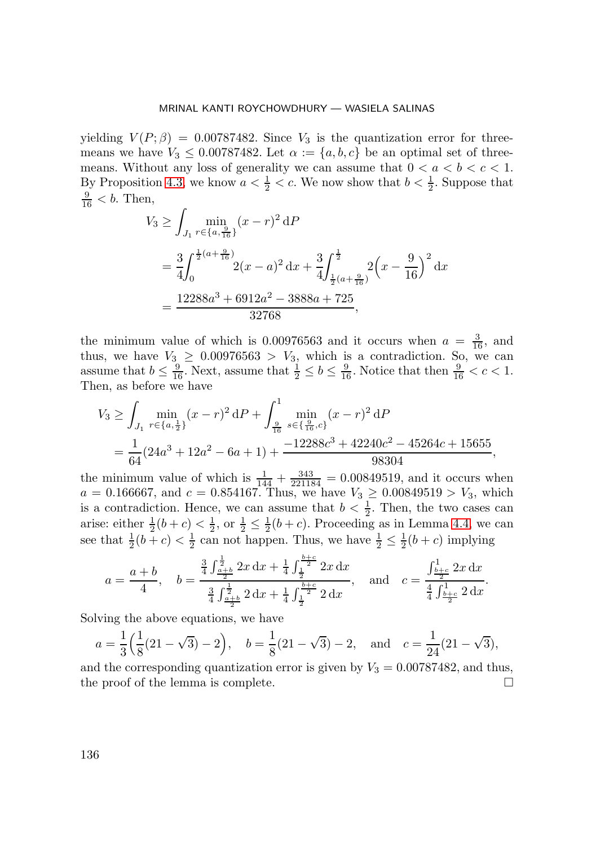yielding  $V(P;\beta)=0.00787482$ . Since  $V_3$  is the quantization error for threemeans we have  $V_3 \leq 0.00787482$ . Let  $\alpha := \{a, b, c\}$  be an optimal set of threemeans. Without any loss of generality we can assume that  $0 < a < b < c < 1$ . By Proposition [4.3,](#page-30-0) we know  $a < \frac{1}{2} < c$ . We now show that  $b < \frac{1}{2}$ . Suppose that  $\frac{9}{16}$  < b. Then,

$$
V_3 \ge \int_{J_1} \min_{r \in \{a, \frac{9}{16}\}} (x - r)^2 dP
$$
  
=  $\frac{3}{4} \int_0^{\frac{1}{2}(a + \frac{9}{16})} 2(x - a)^2 dx + \frac{3}{4} \int_{\frac{1}{2}(a + \frac{9}{16})}^{\frac{1}{2}} 2(x - \frac{9}{16})^2 dx$   
=  $\frac{12288a^3 + 6912a^2 - 3888a + 725}{32768}$ ,

the minimum value of which is 0.00976563 and it occurs when  $a = \frac{3}{16}$ , and thus, we have  $V_3 \geq 0.00976563 > V_3$ , which is a contradiction. So, we can assume that  $b \leq \frac{9}{16}$ . Next, assume that  $\frac{1}{2} \leq b \leq \frac{9}{16}$ . Notice that then  $\frac{9}{16} < c < 1$ . Then, as before we have

$$
V_3 \ge \int_{J_1} \min_{r \in \{a, \frac{1}{2}\}} (x - r)^2 dP + \int_{\frac{9}{16}}^1 \min_{s \in \{\frac{9}{16}, c\}} (x - r)^2 dP
$$
  
=  $\frac{1}{64} (24a^3 + 12a^2 - 6a + 1) + \frac{-12288c^3 + 42240c^2 - 45264c + 15655}{98304},$ 

the minimum value of which is  $\frac{1}{144} + \frac{343}{221184} = 0.00849519$ , and it occurs when  $a = 0.166667$ , and  $c = 0.854167$ . Thus, we have  $V_3 \ge 0.00849519 > V_3$ , which is a contradiction. Hence, we can assume that  $b < \frac{1}{2}$ . Then, the two cases can arise: either  $\frac{1}{2}(b+c) < \frac{1}{2}$ , or  $\frac{1}{2} \leq \frac{1}{2}(b+c)$ . Proceeding as in Lemma [4.4,](#page-30-1) we can see that  $\frac{1}{2}(b+c) < \frac{1}{2}$  can not happen. Thus, we have  $\frac{1}{2} \leq \frac{1}{2}(b+c)$  implying

$$
a = \frac{a+b}{4}, \quad b = \frac{\frac{3}{4} \int_{\frac{a+b}{2}}^{\frac{1}{2}} 2x \, dx + \frac{1}{4} \int_{\frac{1}{2}}^{\frac{b+c}{2}} 2x \, dx}{\frac{3}{4} \int_{\frac{a+b}{2}}^{\frac{1}{2}} 2 \, dx + \frac{1}{4} \int_{\frac{1}{2}}^{\frac{b+c}{2}} 2 \, dx}, \quad \text{and} \quad c = \frac{\int_{\frac{b+c}{2}}^{\frac{1}{2}} 2x \, dx}{\frac{4}{4} \int_{\frac{b+c}{2}}^{\frac{1}{2}} 2 \, dx}.
$$

Solving the above equations, we have

$$
a = \frac{1}{3} \left( \frac{1}{8} (21 - \sqrt{3}) - 2 \right), \quad b = \frac{1}{8} (21 - \sqrt{3}) - 2, \text{ and } c = \frac{1}{24} (21 - \sqrt{3}),
$$

and the corresponding quantization error is given by  $V_3 = 0.00787482$ , and thus, the proof of the lemma is complete.  $\Box$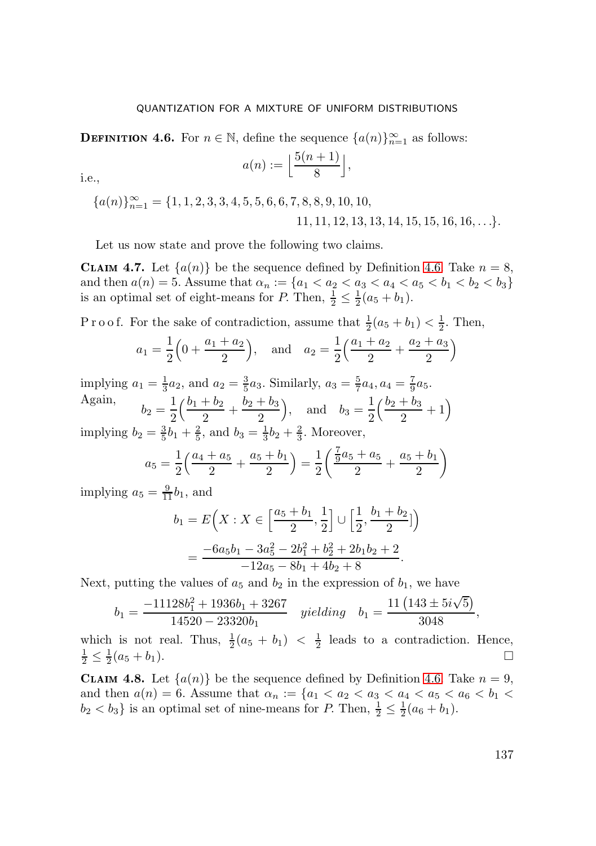<span id="page-33-0"></span>**DEFINITION 4.6.** For  $n \in \mathbb{N}$ , define the sequence  $\{a(n)\}_{n=1}^{\infty}$  as follows:

$$
a(n) := \left\lfloor \frac{5(n+1)}{8} \right\rfloor,
$$

i.e.,

 ${a(n)}_{n=1}^{\infty} = {1, 1, 2, 3, 3, 4, 5, 5, 6, 6, 7, 8, 8, 9, 10, 10,$  $11, 11, 12, 13, 13, 14, 15, 15, 16, 16, \ldots$ 

Let us now state and prove the following two claims.

<span id="page-33-1"></span>**CLAIM 4.7.** Let  $\{a(n)\}\$ be the sequence defined by Definition [4.6.](#page-33-0) Take  $n = 8$ , and then  $a(n) = 5$ . Assume that  $\alpha_n := \{a_1 < a_2 < a_3 < a_4 < a_5 < b_1 < b_2 < b_3\}$ is an optimal set of eight-means for P. Then,  $\frac{1}{2} \leq \frac{1}{2}(a_5 + b_1)$ .

P r o o f. For the sake of contradiction, assume that  $\frac{1}{2}(a_5 + b_1) < \frac{1}{2}$ . Then,

$$
a_1 = \frac{1}{2} \left( 0 + \frac{a_1 + a_2}{2} \right)
$$
, and  $a_2 = \frac{1}{2} \left( \frac{a_1 + a_2}{2} + \frac{a_2 + a_3}{2} \right)$ 

implying  $a_1 = \frac{1}{3}a_2$ , and  $a_2 = \frac{3}{5}a_3$ . Similarly,  $a_3 = \frac{5}{7}a_4$ ,  $a_4 = \frac{7}{9}a_5$ . Again,  $b_2 = \frac{1}{2}$  $\left(\frac{b_1+b_2}{2}+\frac{b_2+b_3}{2}\right)$ 2 ), and  $b_3 = \frac{1}{2}$  $\left(\frac{b_2 + b_3}{2} + 1\right)$ implying  $b_2 = \frac{3}{5}b_1 + \frac{2}{5}$ , and  $b_3 = \frac{1}{3}b_2 + \frac{2}{3}$ . Moreover,

$$
a_5 = \frac{1}{2} \left( \frac{a_4 + a_5}{2} + \frac{a_5 + b_1}{2} \right) = \frac{1}{2} \left( \frac{\frac{7}{9}a_5 + a_5}{2} + \frac{a_5 + b_1}{2} \right)
$$

implying  $a_5 = \frac{9}{11}b_1$ , and

$$
b_1 = E\left(X : X \in \left[\frac{a_5 + b_1}{2}, \frac{1}{2}\right] \cup \left[\frac{1}{2}, \frac{b_1 + b_2}{2}\right]\right)
$$
  
= 
$$
\frac{-6a_5b_1 - 3a_5^2 - 2b_1^2 + b_2^2 + 2b_1b_2 + 2}{-12a_5 - 8b_1 + 4b_2 + 8}.
$$

Next, putting the values of  $a_5$  and  $b_2$  in the expression of  $b_1$ , we have

$$
b_1 = \frac{-11128b_1^2 + 1936b_1 + 3267}{14520 - 23320b_1} \quad \text{yielding} \quad b_1 = \frac{11\left(143 \pm 5i\sqrt{5}\right)}{3048},
$$

which is not real. Thus,  $\frac{1}{2}(a_5 + b_1) < \frac{1}{2}$  leads to a contradiction. Hence,  $\frac{1}{2} \leq \frac{1}{2}(a_5 + b_1).$ 

<span id="page-33-2"></span>**CLAIM 4.8.** Let  $\{a(n)\}\$ be the sequence defined by Definition [4.6.](#page-33-0) Take  $n = 9$ , and then  $a(n) = 6$ . Assume that  $\alpha_n := \{a_1 < a_2 < a_3 < a_4 < a_5 < a_6 < b_1 < a_6 < a_6 \}$  $b_2 < b_3$ } is an optimal set of nine-means for P. Then,  $\frac{1}{2} \leq \frac{1}{2}(a_6 + b_1)$ .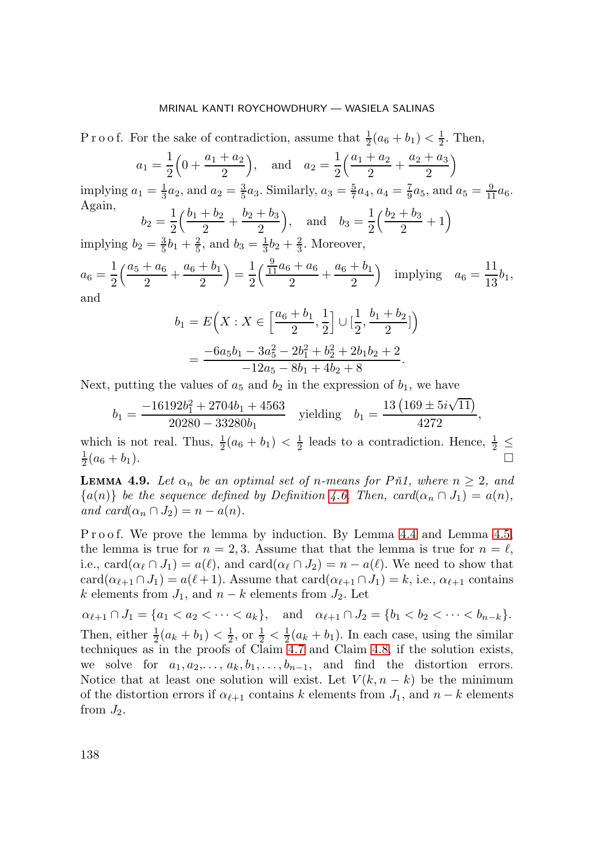P r o o f. For the sake of contradiction, assume that  $\frac{1}{2}(a_6 + b_1) < \frac{1}{2}$ . Then,

$$
a_1 = \frac{1}{2} \left( 0 + \frac{a_1 + a_2}{2} \right), \text{ and } a_2 = \frac{1}{2} \left( \frac{a_1 + a_2}{2} + \frac{a_2 + a_3}{2} \right)
$$
  
g  $a_1 = \frac{1}{3} a_2$ , and  $a_2 = \frac{3}{5} a_3$ . Similarly,  $a_3 = \frac{5}{7} a_4$ ,  $a_4 = \frac{7}{9} a_5$ , and  $a_5 = \frac{9}{11} a_6$ 

implying ia  $a_5 = \frac{1}{11} a_6$ . Again,  $\left(\frac{b_2 + b_3}{2} + 1\right)$ 

 $b_2=\frac{1}{2}$  $\left(\frac{b_1+b_2}{2}+\frac{b_2+b_3}{2}\right)$ 2 ), and  $b_3 = \frac{1}{2}$ implying  $b_2 = \frac{3}{5}b_1 + \frac{2}{5}$ , and  $b_3 = \frac{1}{3}b_2 + \frac{2}{3}$ . Moreover,

$$
a_6 = \frac{1}{2} \left( \frac{a_5 + a_6}{2} + \frac{a_6 + b_1}{2} \right) = \frac{1}{2} \left( \frac{\frac{9}{11} a_6 + a_6}{2} + \frac{a_6 + b_1}{2} \right) \text{ implying } a_6 = \frac{11}{13} b_1,
$$
  
and

and

$$
b_1 = E\left(X : X \in \left[\frac{a_6 + b_1}{2}, \frac{1}{2}\right] \cup \left[\frac{1}{2}, \frac{b_1 + b_2}{2}\right]\right)
$$
  
= 
$$
\frac{-6a_5b_1 - 3a_5^2 - 2b_1^2 + b_2^2 + 2b_1b_2 + 2}{-12a_5 - 8b_1 + 4b_2 + 8}.
$$

Next, putting the values of  $a_5$  and  $b_2$  in the expression of  $b_1$ , we have

$$
b_1 = \frac{-16192b_1^2 + 2704b_1 + 4563}{20280 - 33280b_1}
$$
 yielding  $b_1 = \frac{13(169 \pm 5i\sqrt{11})}{4272}$ ,

which is not real. Thus,  $\frac{1}{2}(a_6 + b_1) < \frac{1}{2}$  leads to a contradiction. Hence,  $\frac{1}{2} \leq$  $\frac{1}{2}(a_6 + b_1).$ 

<span id="page-34-0"></span>**LEMMA 4.9.** Let  $\alpha_n$  be an optimal set of n-means for Pn1, where  $n \geq 2$ , and  ${a(n)}$  *be the sequence defined by Definition [4.6.](#page-33-0) Then, card* $(\alpha_n \cap J_1) = a(n)$ , *and card* $(\alpha_n \cap J_2) = n - a(n)$ .

P r o o f. We prove the lemma by induction. By Lemma [4.4](#page-30-1) and Lemma [4.5,](#page-31-0) the lemma is true for  $n = 2, 3$ . Assume that that the lemma is true for  $n = \ell$ , i.e., card $(\alpha_{\ell} \cap J_1) = a(\ell)$ , and card $(\alpha_{\ell} \cap J_2) = n - a(\ell)$ . We need to show that card $(\alpha_{\ell+1} \cap J_1) = a(\ell+1)$ . Assume that card $(\alpha_{\ell+1} \cap J_1) = k$ , i.e.,  $\alpha_{\ell+1}$  contains k elements from  $J_1$ , and  $n - k$  elements from  $J_2$ . Let

 $\alpha_{\ell+1} \cap J_1 = \{a_1 < a_2 < \cdots < a_k\}, \quad \text{and} \quad \alpha_{\ell+1} \cap J_2 = \{b_1 < b_2 < \cdots < b_{n-k}\}.$ Then, either  $\frac{1}{2}(a_k + b_1) < \frac{1}{2}$ , or  $\frac{1}{2} < \frac{1}{2}(a_k + b_1)$ . In each case, using the similar techniques as in the proofs of Claim [4.7](#page-33-1) and Claim [4.8,](#page-33-2) if the solution exists, we solve for  $a_1, a_2, \ldots, a_k, b_1, \ldots, b_{n-1}$ , and find the distortion errors. Notice that at least one solution will exist. Let  $V(k, n - k)$  be the minimum of the distortion errors if  $\alpha_{\ell+1}$  contains k elements from  $J_1$ , and  $n - k$  elements from  $J_2$ .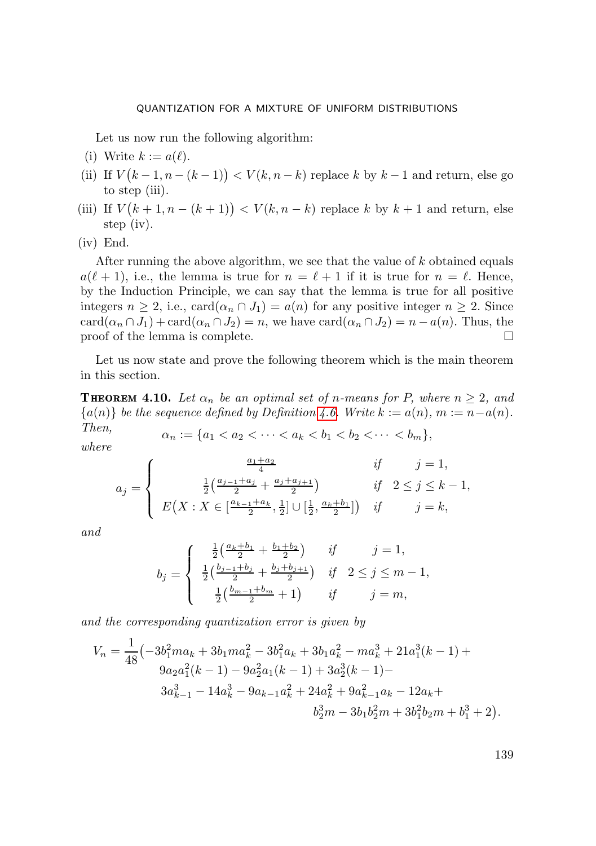Let us now run the following algorithm:

- (i) Write  $k := a(\ell)$ .
- (ii) If  $V(k-1, n-(k-1)) < V(k, n-k)$  replace k by  $k-1$  and return, else go to step (iii).
- (iii) If  $V(k+1, n-(k+1)) < V(k, n-k)$  replace k by  $k+1$  and return, else step (iv).
- (iv) End.

After running the above algorithm, we see that the value of k obtained equals  $a(\ell + 1)$ , i.e., the lemma is true for  $n = \ell + 1$  if it is true for  $n = \ell$ . Hence, by the Induction Principle, we can say that the lemma is true for all positive integers  $n \geq 2$ , i.e.,  $card(\alpha_n \cap J_1) = a(n)$  for any positive integer  $n \geq 2$ . Since  $card(\alpha_n \cap J_1) + card(\alpha_n \cap J_2) = n$ , we have  $card(\alpha_n \cap J_2) = n - a(n)$ . Thus, the proof of the lemma is complete.  $\Box$ 

Let us now state and prove the following theorem which is the main theorem in this section.

<span id="page-35-0"></span>**THEOREM 4.10.** Let  $\alpha_n$  be an optimal set of n-means for P, where  $n \geq 2$ , and  ${a(n)}$  *be the sequence defined by Definition* [4.6.](#page-33-0) Write  $k := a(n)$ ,  $m := n - a(n)$ .

*Then,*  $\alpha_n := \{a_1 < a_2 < \cdots < a_k < b_1 < b_2 < \cdots < b_m\},\text{where}$ 

$$
a_j = \begin{cases} \frac{a_1 + a_2}{4} & \text{if } j = 1, \\ \frac{1}{2} \left( \frac{a_{j-1} + a_j}{2} + \frac{a_j + a_{j+1}}{2} \right) & \text{if } 2 \le j \le k - 1, \\ E(X : X \in \left[ \frac{a_{k-1} + a_k}{2}, \frac{1}{2} \right] \cup \left[ \frac{1}{2}, \frac{a_k + b_1}{2} \right]) & \text{if } j = k, \end{cases}
$$

*and*

$$
b_j = \begin{cases} \frac{1}{2} \left( \frac{a_k + b_1}{2} + \frac{b_1 + b_2}{2} \right) & \text{if } j = 1, \\ \frac{1}{2} \left( \frac{b_{j-1} + b_j}{2} + \frac{b_j + b_{j+1}}{2} \right) & \text{if } 2 \le j \le m - 1, \\ \frac{1}{2} \left( \frac{b_{m-1} + b_m}{2} + 1 \right) & \text{if } j = m, \end{cases}
$$

*and the corresponding quantization error is given by*

$$
V_n = \frac{1}{48} \left( -3b_1^2 m a_k + 3b_1 m a_k^2 - 3b_1^2 a_k + 3b_1 a_k^2 - m a_k^3 + 21a_1^3(k - 1) + 9a_2 a_1^2(k - 1) - 9a_2^2 a_1(k - 1) + 3a_2^3(k - 1) - 3a_{k-1}^3 - 9a_{k-1} a_k^2 + 24a_k^2 + 9a_{k-1}^2 a_k - 12a_k + b_2^3 m - 3b_1 b_2^2 m + 3b_1^2 b_2 m + b_1^3 + 2 \right).
$$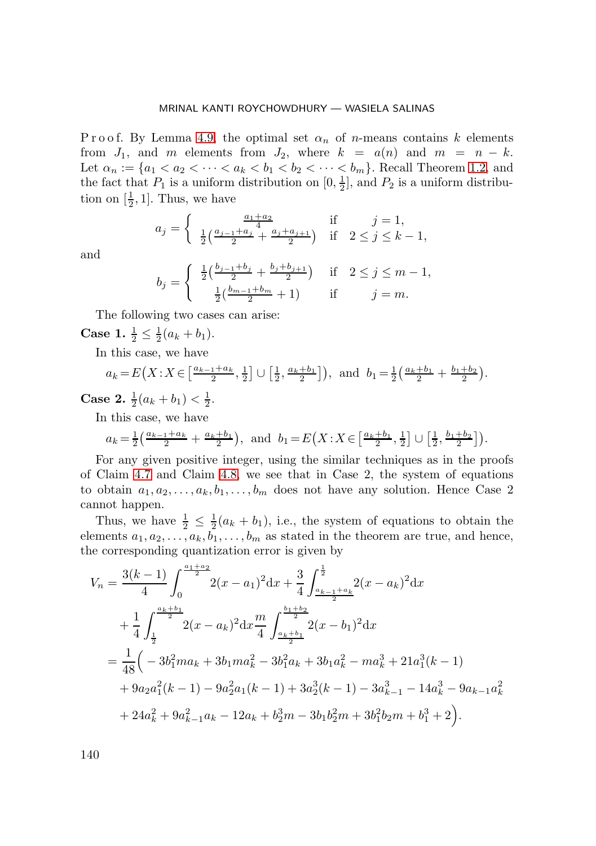P r o o f. By Lemma [4.9,](#page-34-0) the optimal set  $\alpha_n$  of *n*-means contains k elements from  $J_1$ , and m elements from  $J_2$ , where  $k = a(n)$  and  $m = n - k$ . Let  $\alpha_n := \{a_1 < a_2 < \cdots < a_k < b_1 < b_2 < \cdots < b_m\}$ . Recall Theorem [1.2,](#page-2-1) and the fact that  $P_1$  is a uniform distribution on  $[0, \frac{1}{2}]$ , and  $P_2$  is a uniform distribution on  $[\frac{1}{2}, 1]$ . Thus, we have

$$
a_j = \begin{cases} \frac{a_1 + a_2}{4} & \text{if } j = 1, \\ \frac{1}{2} \left( \frac{a_{j-1} + a_j}{2} + \frac{a_j + a_{j+1}}{2} \right) & \text{if } 2 \le j \le k - 1, \end{cases}
$$

and

$$
b_j = \begin{cases} \frac{1}{2} \left( \frac{b_{j-1} + b_j}{2} + \frac{b_j + b_{j+1}}{2} \right) & \text{if } 2 \le j \le m - 1, \\ \frac{1}{2} \left( \frac{b_{m-1} + b_m}{2} + 1 \right) & \text{if } j = m. \end{cases}
$$

The following two cases can arise:

**Case 1.**  $\frac{1}{2} \leq \frac{1}{2}(a_k + b_1)$ .

In this case, we have

$$
a_k = E(X:X \in \left[\frac{a_{k-1}+a_k}{2},\frac{1}{2}\right] \cup \left[\frac{1}{2},\frac{a_k+b_1}{2}\right]\right)
$$
, and  $b_1 = \frac{1}{2}\left(\frac{a_k+b_1}{2} + \frac{b_1+b_2}{2}\right)$ .

**Case 2.**  $\frac{1}{2}(a_k + b_1) < \frac{1}{2}$ .

In this case, we have

$$
a_k = \frac{1}{2} \left( \frac{a_{k-1} + a_k}{2} + \frac{a_k + b_1}{2} \right)
$$
, and  $b_1 = E(X : X \in \left[ \frac{a_k + b_1}{2}, \frac{1}{2} \right] \cup \left[ \frac{1}{2}, \frac{b_1 + b_2}{2} \right])$ .

For any given positive integer, using the similar techniques as in the proofs of Claim [4.7](#page-33-1) and Claim [4.8,](#page-33-2) we see that in Case 2, the system of equations to obtain  $a_1, a_2, \ldots, a_k, b_1, \ldots, b_m$  does not have any solution. Hence Case 2 cannot happen.

Thus, we have  $\frac{1}{2} \leq \frac{1}{2}(a_k + b_1)$ , i.e., the system of equations to obtain the elements  $a_1, a_2, \ldots, a_k, b_1, \ldots, b_m$  as stated in the theorem are true, and hence, the corresponding quantization error is given by

$$
V_{n} = \frac{3(k-1)}{4} \int_{0}^{\frac{a_{1}+a_{2}}{2}} 2(x-a_{1})^{2} dx + \frac{3}{4} \int_{\frac{a_{k-1}+a_{k}}{2}}^{\frac{1}{2}} (x-a_{k})^{2} dx
$$
  
+ 
$$
\frac{1}{4} \int_{\frac{1}{2}}^{\frac{a_{k}+b_{1}}{2}} 2(x-a_{k})^{2} dx \frac{m}{4} \int_{\frac{a_{k}+b_{1}}{2}}^{\frac{b_{1}+b_{2}}{2}} 2(x-b_{1})^{2} dx
$$
  
= 
$$
\frac{1}{48} \Big( -3b_{1}^{2}ma_{k} + 3b_{1}ma_{k}^{2} - 3b_{1}^{2}a_{k} + 3b_{1}a_{k}^{2} - ma_{k}^{3} + 21a_{1}^{3}(k-1)
$$
  
+ 
$$
9a_{2}a_{1}^{2}(k-1) - 9a_{2}^{2}a_{1}(k-1) + 3a_{2}^{3}(k-1) - 3a_{k-1}^{3} - 14a_{k}^{3} - 9a_{k-1}a_{k}^{2}
$$
  
+ 
$$
24a_{k}^{2} + 9a_{k-1}^{2}a_{k} - 12a_{k} + b_{2}^{3}m - 3b_{1}b_{2}^{2}m + 3b_{1}^{2}b_{2}m + b_{1}^{3} + 2 \Big).
$$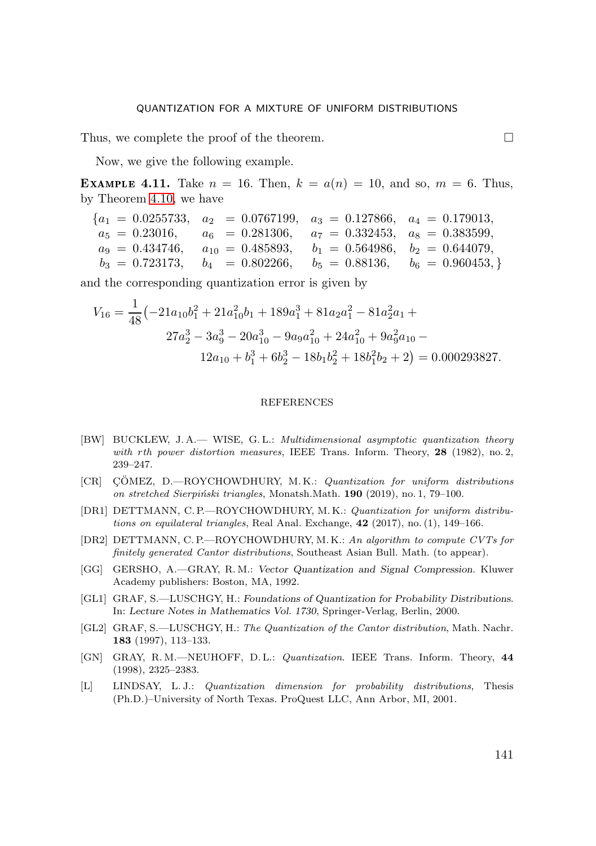Thus, we complete the proof of the theorem.  $\Box$ 

Now, we give the following example.

**EXAMPLE 4.11.** Take  $n = 16$ . Then,  $k = a(n) = 10$ , and so,  $m = 6$ . Thus, by Theorem [4.10,](#page-35-0) we have

$$
\begin{array}{rcl}\n\{a_1 = 0.0255733, & a_2 = 0.0767199, & a_3 = 0.127866, & a_4 = 0.179013, \\
a_5 = 0.23016, & a_6 = 0.281306, & a_7 = 0.332453, & a_8 = 0.383599, \\
a_9 = 0.434746, & a_{10} = 0.485893, & b_1 = 0.564986, & b_2 = 0.644079, \\
b_3 = 0.723173, & b_4 = 0.802266, & b_5 = 0.88136, & b_6 = 0.960453, \}\n\end{array}
$$

and the corresponding quantization error is given by

$$
V_{16} = \frac{1}{48} \left(-21a_{10}b_1^2 + 21a_{10}^2b_1 + 189a_1^3 + 81a_2a_1^2 - 81a_2^2a_1 + 27a_2^3 - 3a_9^3 - 20a_{10}^3 - 9a_9a_{10}^2 + 24a_{10}^2 + 9a_9^2a_{10} - 12a_{10} + b_1^3 + 6b_2^3 - 18b_1b_2^2 + 18b_1^2b_2 + 2\right) = 0.000293827.
$$

#### REFERENCES

- [BW] BUCKLEW, J. A.— WISE, G. L.: *Multidimensional asymptotic quantization theory with rth power distortion measures*, IEEE Trans. Inform. Theory, **28** (1982), no. 2, 239–247.
- <span id="page-37-3"></span>[CR] CÖMEZ, D.—ROYCHOWDHURY, M.K.: *Quantization for uniform distributions on stretched Sierpi´nski triangles*, Monatsh.Math. **190** (2019), no. 1, 79–100.
- <span id="page-37-4"></span>[DR1] DETTMANN, C. P.—ROYCHOWDHURY, M. K.: *Quantization for uniform distributions on equilateral triangles*, Real Anal. Exchange, **42** (2017), no. (1), 149–166.
- <span id="page-37-5"></span>[DR2] DETTMANN, C. P.—ROYCHOWDHURY, M. K.: *An algorithm to compute CVTs for finitely generated Cantor distributions*, Southeast Asian Bull. Math. (to appear).
- <span id="page-37-0"></span>[GG] GERSHO, A.—GRAY, R. M.: *Vector Quantization and Signal Compression*. Kluwer Academy publishers: Boston, MA, 1992.
- <span id="page-37-2"></span>[GL1] GRAF, S.—LUSCHGY, H.: *Foundations of Quantization for Probability Distributions*. In: *Lecture Notes in Mathematics Vol. 1730*, Springer-Verlag, Berlin, 2000.
- <span id="page-37-6"></span>[GL2] GRAF, S.—LUSCHGY, H.: *The Quantization of the Cantor distribution*, Math. Nachr. **183** (1997), 113–133.
- <span id="page-37-1"></span>[GN] GRAY, R. M.—NEUHOFF, D. L.: *Quantization*. IEEE Trans. Inform. Theory, **44** (1998), 2325–2383.
- <span id="page-37-7"></span>[L] LINDSAY, L. J.: *Quantization dimension for probability distributions*, Thesis (Ph.D.)–University of North Texas. ProQuest LLC, Ann Arbor, MI, 2001.